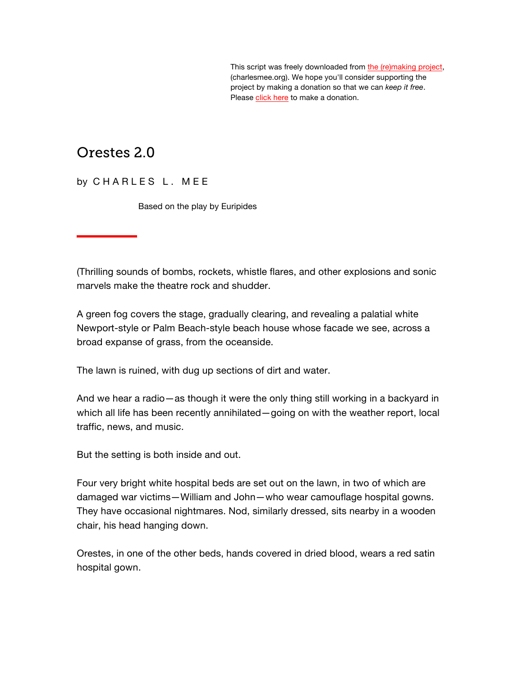This script was freely downloaded from [the \(re\)making project,](http://www.charlesmee.org/)  (charlesmee.org). We hope you'll consider supporting the project by making a donation so that we can *keep it free*. Please [click here](http://www.charlesmee.org/support-the-project.shtml) to make a donation.

# Orestes 2.0

by CHARLES L. MEE

Based on the play by Euripides

(Thrilling sounds of bombs, rockets, whistle flares, and other explosions and sonic marvels make the theatre rock and shudder.

A green fog covers the stage, gradually clearing, and revealing a palatial white Newport-style or Palm Beach-style beach house whose facade we see, across a broad expanse of grass, from the oceanside.

The lawn is ruined, with dug up sections of dirt and water.

And we hear a radio—as though it were the only thing still working in a backyard in which all life has been recently annihilated—going on with the weather report, local traffic, news, and music.

But the setting is both inside and out.

Four very bright white hospital beds are set out on the lawn, in two of which are damaged war victims—William and John—who wear camouflage hospital gowns. They have occasional nightmares. Nod, similarly dressed, sits nearby in a wooden chair, his head hanging down.

Orestes, in one of the other beds, hands covered in dried blood, wears a red satin hospital gown.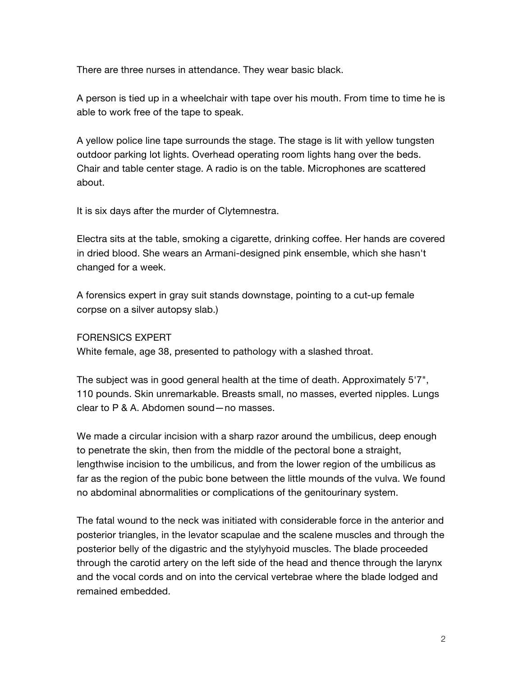There are three nurses in attendance. They wear basic black.

A person is tied up in a wheelchair with tape over his mouth. From time to time he is able to work free of the tape to speak.

A yellow police line tape surrounds the stage. The stage is lit with yellow tungsten outdoor parking lot lights. Overhead operating room lights hang over the beds. Chair and table center stage. A radio is on the table. Microphones are scattered about.

It is six days after the murder of Clytemnestra.

Electra sits at the table, smoking a cigarette, drinking coffee. Her hands are covered in dried blood. She wears an Armani-designed pink ensemble, which she hasn't changed for a week.

A forensics expert in gray suit stands downstage, pointing to a cut-up female corpse on a silver autopsy slab.)

#### FORENSICS EXPERT

White female, age 38, presented to pathology with a slashed throat.

The subject was in good general health at the time of death. Approximately 5'7", 110 pounds. Skin unremarkable. Breasts small, no masses, everted nipples. Lungs clear to P & A. Abdomen sound—no masses.

We made a circular incision with a sharp razor around the umbilicus, deep enough to penetrate the skin, then from the middle of the pectoral bone a straight, lengthwise incision to the umbilicus, and from the lower region of the umbilicus as far as the region of the pubic bone between the little mounds of the vulva. We found no abdominal abnormalities or complications of the genitourinary system.

The fatal wound to the neck was initiated with considerable force in the anterior and posterior triangles, in the levator scapulae and the scalene muscles and through the posterior belly of the digastric and the stylyhyoid muscles. The blade proceeded through the carotid artery on the left side of the head and thence through the larynx and the vocal cords and on into the cervical vertebrae where the blade lodged and remained embedded.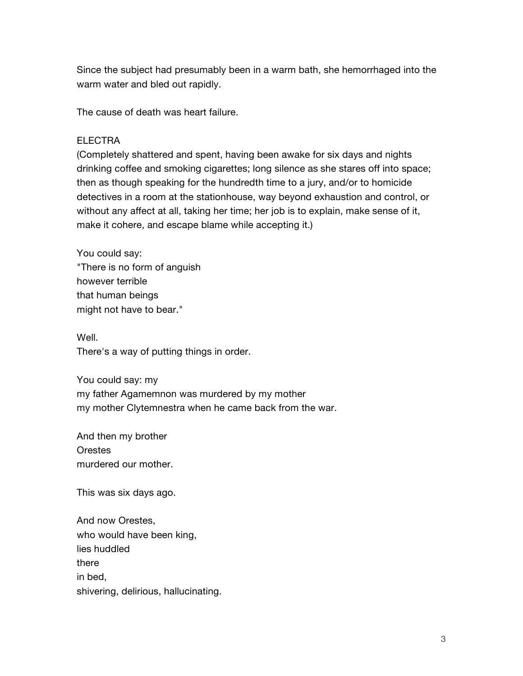Since the subject had presumably been in a warm bath, she hemorrhaged into the warm water and bled out rapidly.

The cause of death was heart failure.

#### ELECTRA

(Completely shattered and spent, having been awake for six days and nights drinking coffee and smoking cigarettes; long silence as she stares off into space; then as though speaking for the hundredth time to a jury, and/or to homicide detectives in a room at the stationhouse, way beyond exhaustion and control, or without any affect at all, taking her time; her job is to explain, make sense of it, make it cohere, and escape blame while accepting it.)

You could say: "There is no form of anguish however terrible that human beings might not have to bear."

Well. There's a way of putting things in order.

You could say: my my father Agamemnon was murdered by my mother my mother Clytemnestra when he came back from the war.

And then my brother **Orestes** murdered our mother.

This was six days ago.

And now Orestes, who would have been king, lies huddled there in bed, shivering, delirious, hallucinating.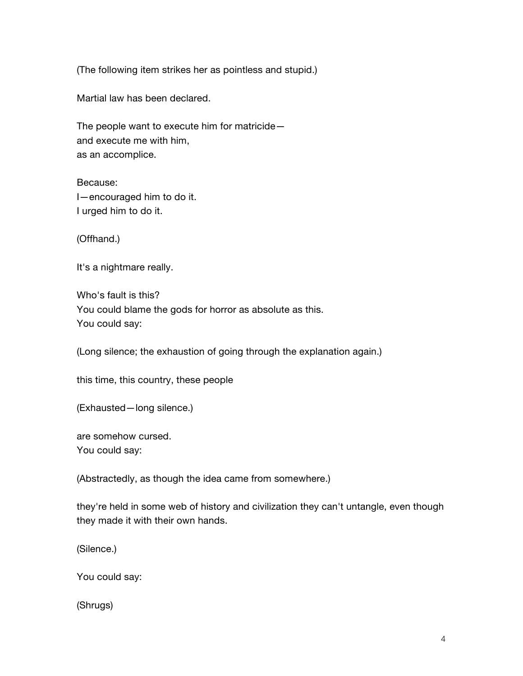(The following item strikes her as pointless and stupid.)

Martial law has been declared.

The people want to execute him for matricide and execute me with him, as an accomplice.

Because: I—encouraged him to do it. I urged him to do it.

(Offhand.)

It's a nightmare really.

Who's fault is this? You could blame the gods for horror as absolute as this. You could say:

(Long silence; the exhaustion of going through the explanation again.)

this time, this country, these people

(Exhausted—long silence.)

are somehow cursed. You could say:

(Abstractedly, as though the idea came from somewhere.)

they're held in some web of history and civilization they can't untangle, even though they made it with their own hands.

(Silence.)

You could say:

(Shrugs)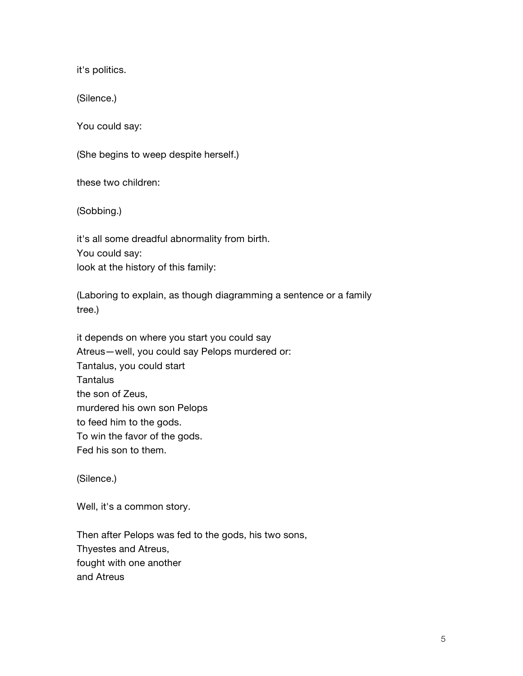it's politics.

(Silence.)

You could say:

(She begins to weep despite herself.)

these two children:

(Sobbing.)

it's all some dreadful abnormality from birth. You could say: look at the history of this family:

(Laboring to explain, as though diagramming a sentence or a family tree.)

it depends on where you start you could say Atreus—well, you could say Pelops murdered or: Tantalus, you could start **Tantalus** the son of Zeus, murdered his own son Pelops to feed him to the gods. To win the favor of the gods. Fed his son to them.

(Silence.)

Well, it's a common story.

Then after Pelops was fed to the gods, his two sons, Thyestes and Atreus, fought with one another and Atreus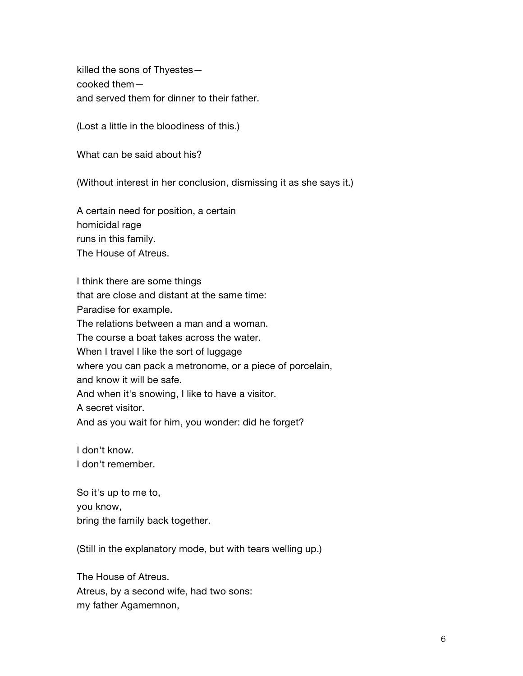killed the sons of Thyestes cooked them and served them for dinner to their father.

(Lost a little in the bloodiness of this.)

What can be said about his?

(Without interest in her conclusion, dismissing it as she says it.)

A certain need for position, a certain homicidal rage runs in this family. The House of Atreus.

I think there are some things that are close and distant at the same time: Paradise for example. The relations between a man and a woman. The course a boat takes across the water. When I travel I like the sort of luggage where you can pack a metronome, or a piece of porcelain, and know it will be safe. And when it's snowing, I like to have a visitor. A secret visitor. And as you wait for him, you wonder: did he forget?

I don't know. I don't remember.

So it's up to me to, you know, bring the family back together.

(Still in the explanatory mode, but with tears welling up.)

The House of Atreus. Atreus, by a second wife, had two sons: my father Agamemnon,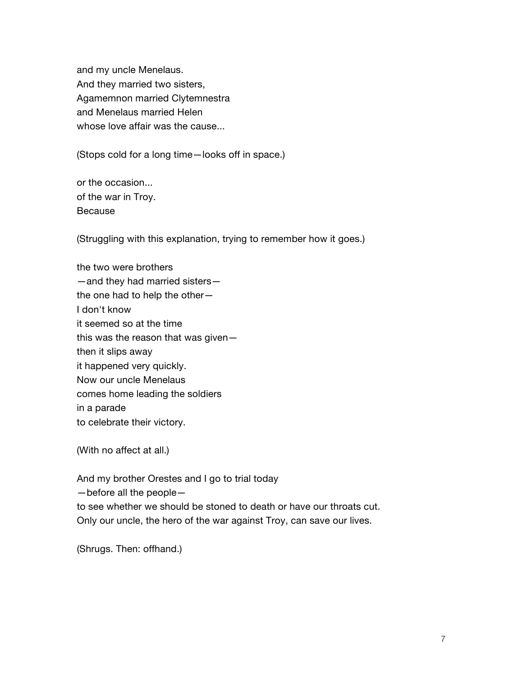and my uncle Menelaus. And they married two sisters, Agamemnon married Clytemnestra and Menelaus married Helen whose love affair was the cause...

(Stops cold for a long time—looks off in space.)

or the occasion... of the war in Troy. Because

(Struggling with this explanation, trying to remember how it goes.)

the two were brothers —and they had married sisters the one had to help the other— I don't know it seemed so at the time this was the reason that was given then it slips away it happened very quickly. Now our uncle Menelaus comes home leading the soldiers in a parade to celebrate their victory.

(With no affect at all.)

And my brother Orestes and I go to trial today

—before all the people—

to see whether we should be stoned to death or have our throats cut. Only our uncle, the hero of the war against Troy, can save our lives.

(Shrugs. Then: offhand.)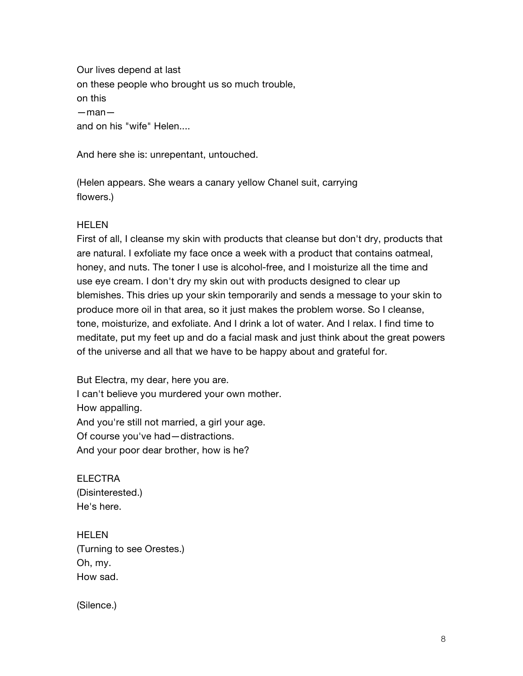Our lives depend at last on these people who brought us so much trouble, on this —man and on his "wife" Helen....

And here she is: unrepentant, untouched.

(Helen appears. She wears a canary yellow Chanel suit, carrying flowers.)

## HELEN

First of all, I cleanse my skin with products that cleanse but don't dry, products that are natural. I exfoliate my face once a week with a product that contains oatmeal, honey, and nuts. The toner I use is alcohol-free, and I moisturize all the time and use eye cream. I don't dry my skin out with products designed to clear up blemishes. This dries up your skin temporarily and sends a message to your skin to produce more oil in that area, so it just makes the problem worse. So I cleanse, tone, moisturize, and exfoliate. And I drink a lot of water. And I relax. I find time to meditate, put my feet up and do a facial mask and just think about the great powers of the universe and all that we have to be happy about and grateful for.

But Electra, my dear, here you are. I can't believe you murdered your own mother. How appalling. And you're still not married, a girl your age. Of course you've had—distractions. And your poor dear brother, how is he?

ELECTRA (Disinterested.) He's here.

HELEN (Turning to see Orestes.) Oh, my. How sad.

(Silence.)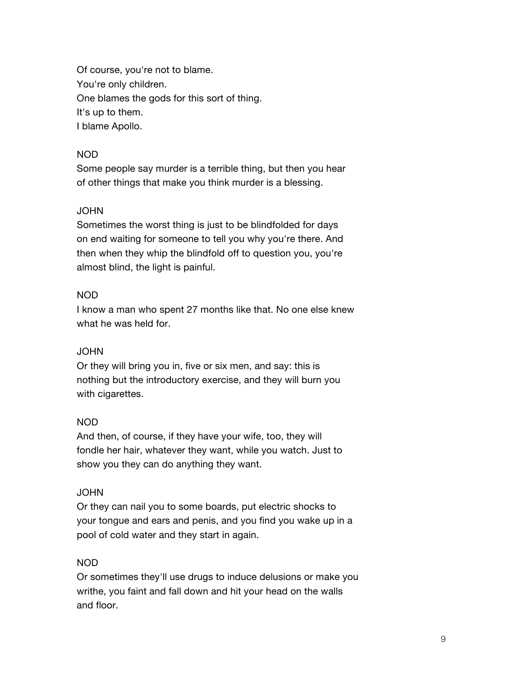Of course, you're not to blame. You're only children. One blames the gods for this sort of thing. It's up to them. I blame Apollo.

## NOD

Some people say murder is a terrible thing, but then you hear of other things that make you think murder is a blessing.

# JOHN

Sometimes the worst thing is just to be blindfolded for days on end waiting for someone to tell you why you're there. And then when they whip the blindfold off to question you, you're almost blind, the light is painful.

# NOD

I know a man who spent 27 months like that. No one else knew what he was held for.

## JOHN

Or they will bring you in, five or six men, and say: this is nothing but the introductory exercise, and they will burn you with cigarettes.

# NOD

And then, of course, if they have your wife, too, they will fondle her hair, whatever they want, while you watch. Just to show you they can do anything they want.

## JOHN

Or they can nail you to some boards, put electric shocks to your tongue and ears and penis, and you find you wake up in a pool of cold water and they start in again.

# NOD

Or sometimes they'll use drugs to induce delusions or make you writhe, you faint and fall down and hit your head on the walls and floor.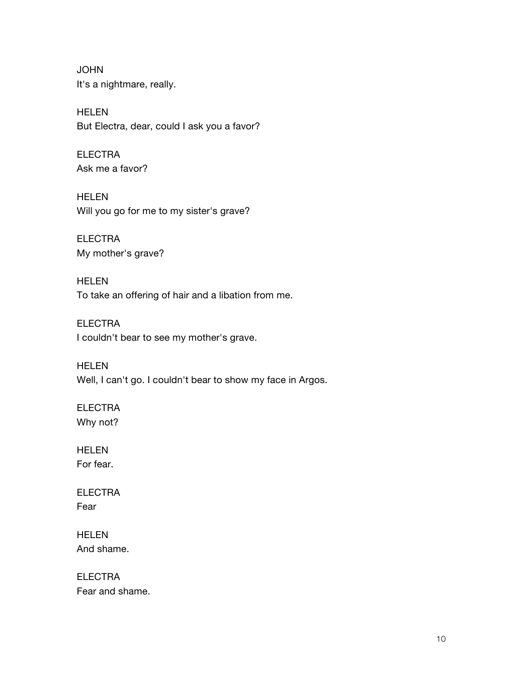JOHN It's a nightmare, really.

HELEN But Electra, dear, could I ask you a favor?

**ELECTRA** Ask me a favor?

HELEN Will you go for me to my sister's grave?

**ELECTRA** My mother's grave?

HELEN To take an offering of hair and a libation from me.

ELECTRA I couldn't bear to see my mother's grave.

HELEN Well, I can't go. I couldn't bear to show my face in Argos.

ELECTRA Why not?

**HELEN** For fear.

ELECTRA Fear

HELEN And shame.

ELECTRA Fear and shame.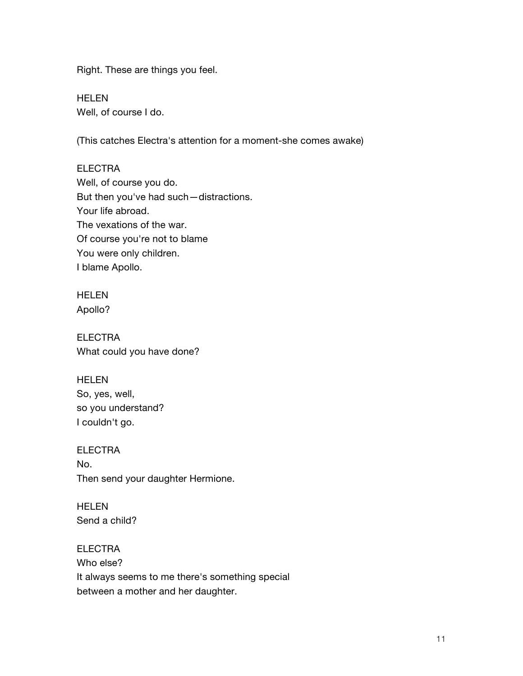Right. These are things you feel.

HELEN Well, of course I do.

(This catches Electra's attention for a moment-she comes awake)

**ELECTRA** Well, of course you do. But then you've had such—distractions. Your life abroad. The vexations of the war. Of course you're not to blame You were only children. I blame Apollo.

HELEN Apollo?

ELECTRA What could you have done?

HELEN So, yes, well, so you understand? I couldn't go.

**ELECTRA** No. Then send your daughter Hermione.

**HELEN** Send a child?

**ELECTRA** Who else? It always seems to me there's something special between a mother and her daughter.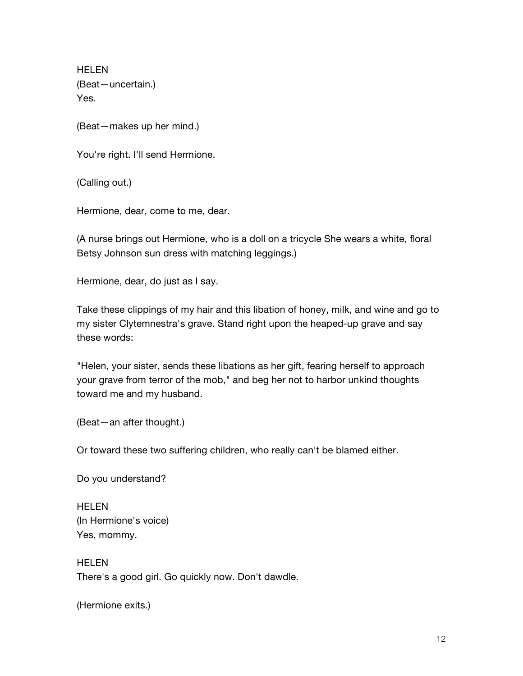HELEN (Beat—uncertain.) Yes.

(Beat—makes up her mind.)

You're right. I'll send Hermione.

(Calling out.)

Hermione, dear, come to me, dear.

(A nurse brings out Hermione, who is a doll on a tricycle She wears a white, floral Betsy Johnson sun dress with matching leggings.)

Hermione, dear, do just as I say.

Take these clippings of my hair and this libation of honey, milk, and wine and go to my sister Clytemnestra's grave. Stand right upon the heaped-up grave and say these words:

"Helen, your sister, sends these libations as her gift, fearing herself to approach your grave from terror of the mob," and beg her not to harbor unkind thoughts toward me and my husband.

(Beat—an after thought.)

Or toward these two suffering children, who really can't be blamed either.

Do you understand?

HELEN (In Hermione's voice) Yes, mommy.

HELEN There's a good girl. Go quickly now. Don't dawdle.

(Hermione exits.)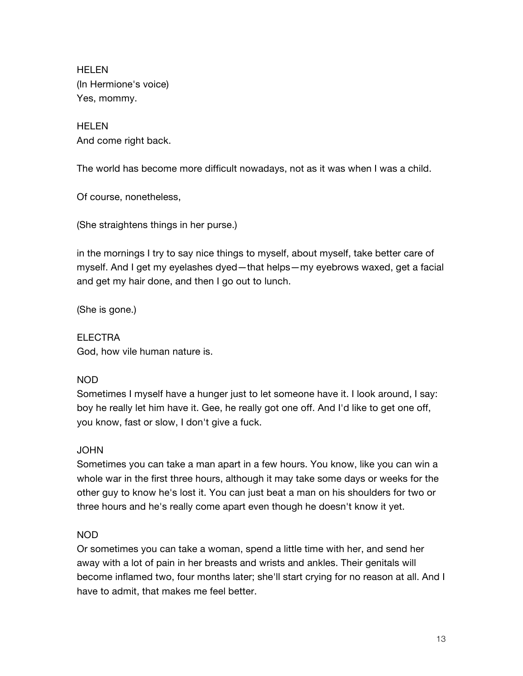HELEN (In Hermione's voice) Yes, mommy.

HELEN And come right back.

The world has become more difficult nowadays, not as it was when I was a child.

Of course, nonetheless,

(She straightens things in her purse.)

in the mornings I try to say nice things to myself, about myself, take better care of myself. And I get my eyelashes dyed—that helps—my eyebrows waxed, get a facial and get my hair done, and then I go out to lunch.

(She is gone.)

**ELECTRA** God, how vile human nature is.

# NOD

Sometimes I myself have a hunger just to let someone have it. I look around, I say: boy he really let him have it. Gee, he really got one off. And I'd like to get one off, you know, fast or slow, I don't give a fuck.

# JOHN

Sometimes you can take a man apart in a few hours. You know, like you can win a whole war in the first three hours, although it may take some days or weeks for the other guy to know he's lost it. You can just beat a man on his shoulders for two or three hours and he's really come apart even though he doesn't know it yet.

# NOD

Or sometimes you can take a woman, spend a little time with her, and send her away with a lot of pain in her breasts and wrists and ankles. Their genitals will become inflamed two, four months later; she'll start crying for no reason at all. And I have to admit, that makes me feel better.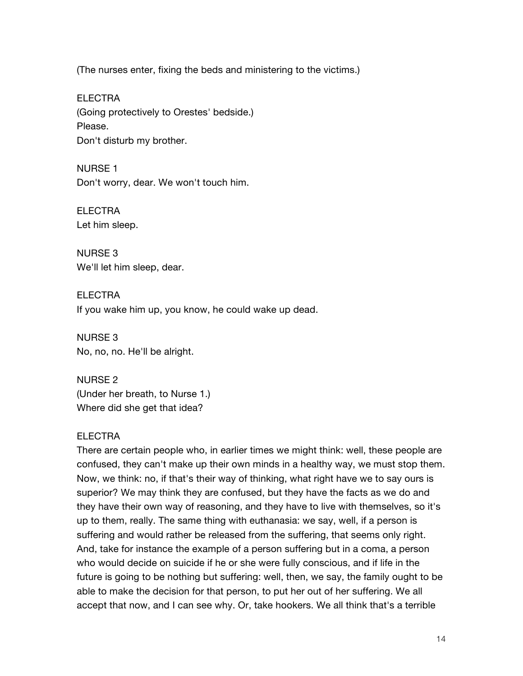(The nurses enter, fixing the beds and ministering to the victims.)

ELECTRA (Going protectively to Orestes' bedside.) Please. Don't disturb my brother.

NURSE 1 Don't worry, dear. We won't touch him.

ELECTRA Let him sleep.

NURSE 3 We'll let him sleep, dear.

ELECTRA If you wake him up, you know, he could wake up dead.

NURSE 3 No, no, no. He'll be alright.

NURSE 2 (Under her breath, to Nurse 1.) Where did she get that idea?

## ELECTRA

There are certain people who, in earlier times we might think: well, these people are confused, they can't make up their own minds in a healthy way, we must stop them. Now, we think: no, if that's their way of thinking, what right have we to say ours is superior? We may think they are confused, but they have the facts as we do and they have their own way of reasoning, and they have to live with themselves, so it's up to them, really. The same thing with euthanasia: we say, well, if a person is suffering and would rather be released from the suffering, that seems only right. And, take for instance the example of a person suffering but in a coma, a person who would decide on suicide if he or she were fully conscious, and if life in the future is going to be nothing but suffering: well, then, we say, the family ought to be able to make the decision for that person, to put her out of her suffering. We all accept that now, and I can see why. Or, take hookers. We all think that's a terrible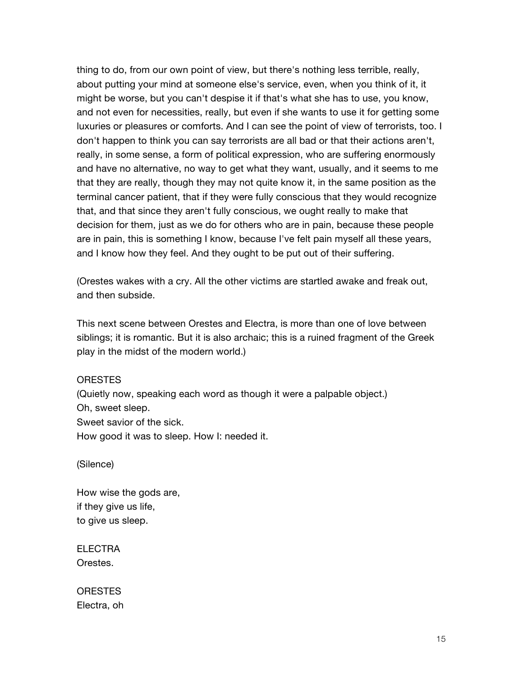thing to do, from our own point of view, but there's nothing less terrible, really, about putting your mind at someone else's service, even, when you think of it, it might be worse, but you can't despise it if that's what she has to use, you know, and not even for necessities, really, but even if she wants to use it for getting some luxuries or pleasures or comforts. And I can see the point of view of terrorists, too. I don't happen to think you can say terrorists are all bad or that their actions aren't, really, in some sense, a form of political expression, who are suffering enormously and have no alternative, no way to get what they want, usually, and it seems to me that they are really, though they may not quite know it, in the same position as the terminal cancer patient, that if they were fully conscious that they would recognize that, and that since they aren't fully conscious, we ought really to make that decision for them, just as we do for others who are in pain, because these people are in pain, this is something I know, because I've felt pain myself all these years, and I know how they feel. And they ought to be put out of their suffering.

(Orestes wakes with a cry. All the other victims are startled awake and freak out, and then subside.

This next scene between Orestes and Electra, is more than one of love between siblings; it is romantic. But it is also archaic; this is a ruined fragment of the Greek play in the midst of the modern world.)

## ORESTES

(Quietly now, speaking each word as though it were a palpable object.) Oh, sweet sleep. Sweet savior of the sick. How good it was to sleep. How I: needed it.

(Silence)

How wise the gods are, if they give us life, to give us sleep.

ELECTRA Orestes.

**ORESTES** Electra, oh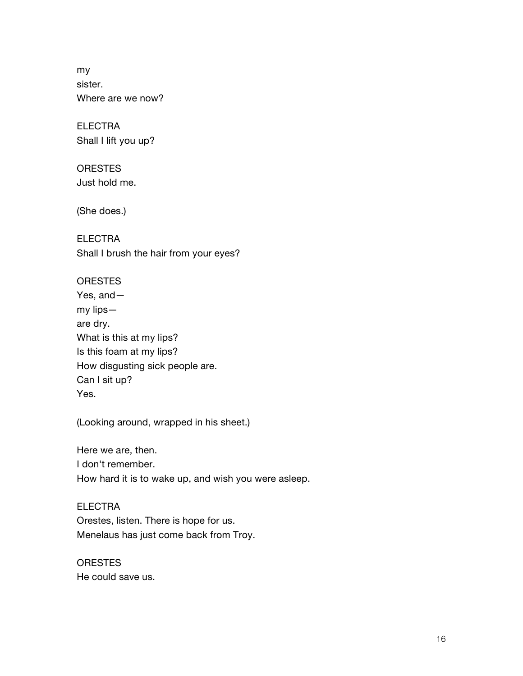my sister. Where are we now?

ELECTRA Shall I lift you up?

# **ORESTES**

Just hold me.

(She does.)

**ELECTRA** Shall I brush the hair from your eyes?

# **ORESTES**

Yes, and my lips are dry. What is this at my lips? Is this foam at my lips? How disgusting sick people are. Can I sit up? Yes.

(Looking around, wrapped in his sheet.)

Here we are, then. I don't remember. How hard it is to wake up, and wish you were asleep.

## **ELECTRA**

Orestes, listen. There is hope for us. Menelaus has just come back from Troy.

# **ORESTES**

He could save us.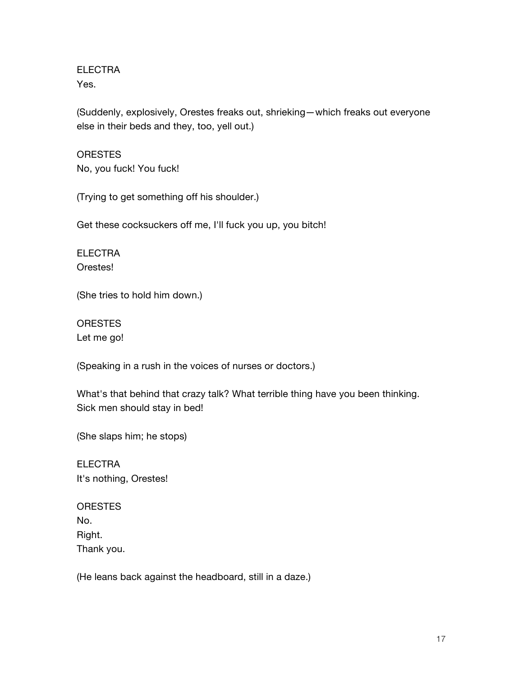**ELECTRA** Yes.

(Suddenly, explosively, Orestes freaks out, shrieking—which freaks out everyone else in their beds and they, too, yell out.)

**ORESTES** No, you fuck! You fuck!

(Trying to get something off his shoulder.)

Get these cocksuckers off me, I'll fuck you up, you bitch!

ELECTRA Orestes!

(She tries to hold him down.)

**ORESTES** Let me go!

(Speaking in a rush in the voices of nurses or doctors.)

What's that behind that crazy talk? What terrible thing have you been thinking. Sick men should stay in bed!

(She slaps him; he stops)

ELECTRA It's nothing, Orestes!

ORESTES No. Right. Thank you.

(He leans back against the headboard, still in a daze.)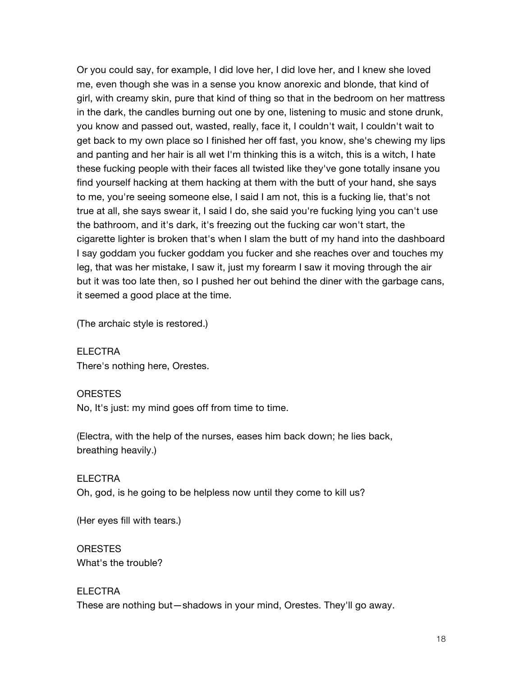Or you could say, for example, I did love her, I did love her, and I knew she loved me, even though she was in a sense you know anorexic and blonde, that kind of girl, with creamy skin, pure that kind of thing so that in the bedroom on her mattress in the dark, the candles burning out one by one, listening to music and stone drunk, you know and passed out, wasted, really, face it, I couldn't wait, I couldn't wait to get back to my own place so I finished her off fast, you know, she's chewing my lips and panting and her hair is all wet I'm thinking this is a witch, this is a witch, I hate these fucking people with their faces all twisted like they've gone totally insane you find yourself hacking at them hacking at them with the butt of your hand, she says to me, you're seeing someone else, I said I am not, this is a fucking lie, that's not true at all, she says swear it, I said I do, she said you're fucking lying you can't use the bathroom, and it's dark, it's freezing out the fucking car won't start, the cigarette lighter is broken that's when I slam the butt of my hand into the dashboard I say goddam you fucker goddam you fucker and she reaches over and touches my leg, that was her mistake, I saw it, just my forearm I saw it moving through the air but it was too late then, so I pushed her out behind the diner with the garbage cans, it seemed a good place at the time.

(The archaic style is restored.)

ELECTRA There's nothing here, Orestes.

#### **ORESTES**

No, It's just: my mind goes off from time to time.

(Electra, with the help of the nurses, eases him back down; he lies back, breathing heavily.)

ELECTRA Oh, god, is he going to be helpless now until they come to kill us?

(Her eyes fill with tears.)

ORESTES What's the trouble?

## ELECTRA

These are nothing but—shadows in your mind, Orestes. They'll go away.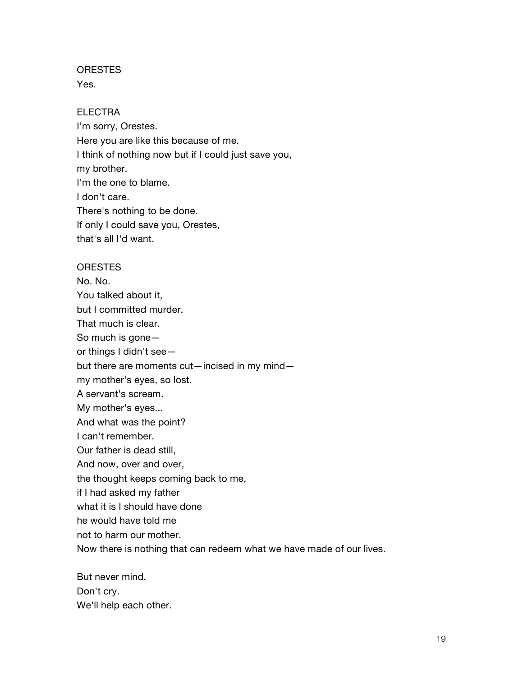### **ORESTES** Yes.

#### **ELECTRA**

I'm sorry, Orestes. Here you are like this because of me. I think of nothing now but if I could just save you, my brother. I'm the one to blame. I don't care. There's nothing to be done. If only I could save you, Orestes, that's all I'd want.

#### **ORESTES**

No. No.

You talked about it,

but I committed murder.

That much is clear.

So much is gone—

or things I didn't see—

but there are moments cut—incised in my mind—

my mother's eyes, so lost.

A servant's scream.

My mother's eyes...

And what was the point?

I can't remember.

Our father is dead still,

And now, over and over,

the thought keeps coming back to me,

if I had asked my father

what it is I should have done

he would have told me

not to harm our mother.

Now there is nothing that can redeem what we have made of our lives.

But never mind. Don't cry. We'll help each other.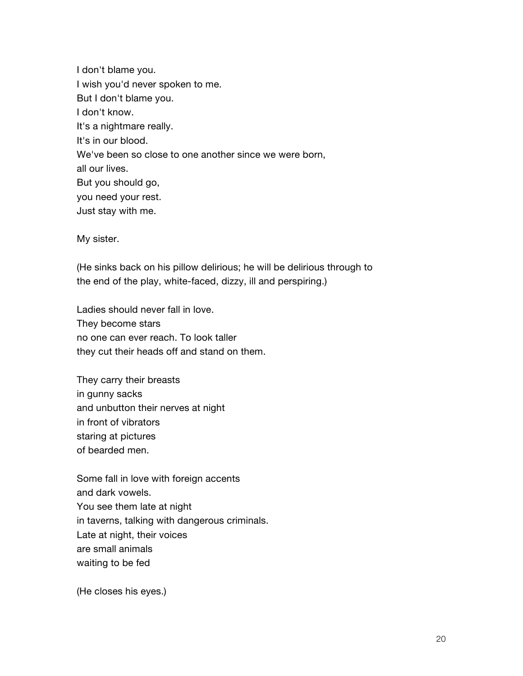I don't blame you. I wish you'd never spoken to me. But I don't blame you. I don't know. It's a nightmare really. It's in our blood. We've been so close to one another since we were born, all our lives. But you should go, you need your rest. Just stay with me.

My sister.

(He sinks back on his pillow delirious; he will be delirious through to the end of the play, white-faced, dizzy, ill and perspiring.)

Ladies should never fall in love. They become stars no one can ever reach. To look taller they cut their heads off and stand on them.

They carry their breasts in gunny sacks and unbutton their nerves at night in front of vibrators staring at pictures of bearded men.

Some fall in love with foreign accents and dark vowels. You see them late at night in taverns, talking with dangerous criminals. Late at night, their voices are small animals waiting to be fed

(He closes his eyes.)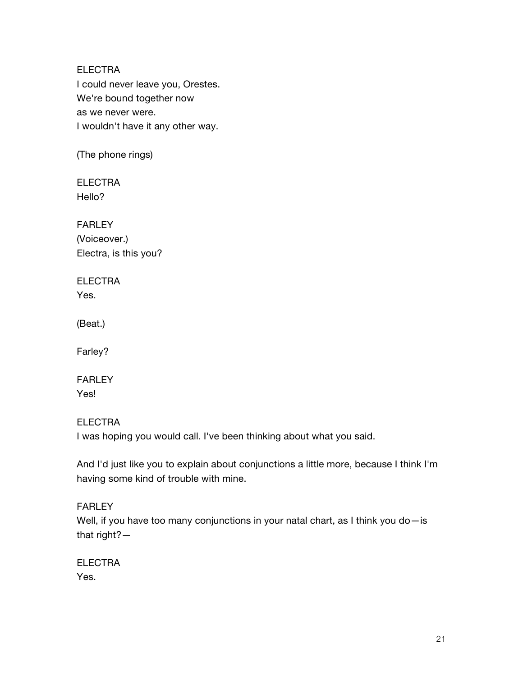ELECTRA I could never leave you, Orestes. We're bound together now as we never were. I wouldn't have it any other way.

(The phone rings)

ELECTRA Hello?

**FARLEY** (Voiceover.) Electra, is this you?

**ELECTRA** Yes.

(Beat.)

Farley?

**FARLEY** Yes!

# ELECTRA

I was hoping you would call. I've been thinking about what you said.

And I'd just like you to explain about conjunctions a little more, because I think I'm having some kind of trouble with mine.

FARLEY

Well, if you have too many conjunctions in your natal chart, as I think you do-is that right?—

**ELECTRA** Yes.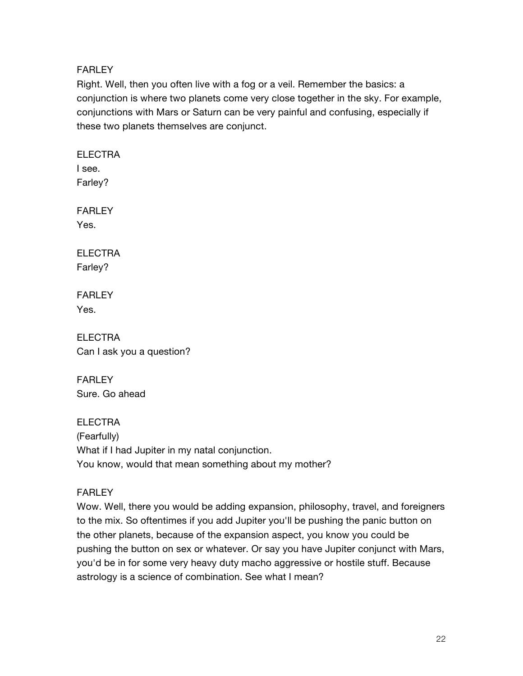**FARLEY** 

Right. Well, then you often live with a fog or a veil. Remember the basics: a conjunction is where two planets come very close together in the sky. For example, conjunctions with Mars or Saturn can be very painful and confusing, especially if these two planets themselves are conjunct.

ELECTRA I see. Farley? FARLEY Yes.

ELECTRA Farley?

**FARLEY** Yes.

ELECTRA Can I ask you a question?

**FARLEY** Sure. Go ahead

ELECTRA (Fearfully) What if I had Jupiter in my natal conjunction. You know, would that mean something about my mother?

## **FARLEY**

Wow. Well, there you would be adding expansion, philosophy, travel, and foreigners to the mix. So oftentimes if you add Jupiter you'll be pushing the panic button on the other planets, because of the expansion aspect, you know you could be pushing the button on sex or whatever. Or say you have Jupiter conjunct with Mars, you'd be in for some very heavy duty macho aggressive or hostile stuff. Because astrology is a science of combination. See what I mean?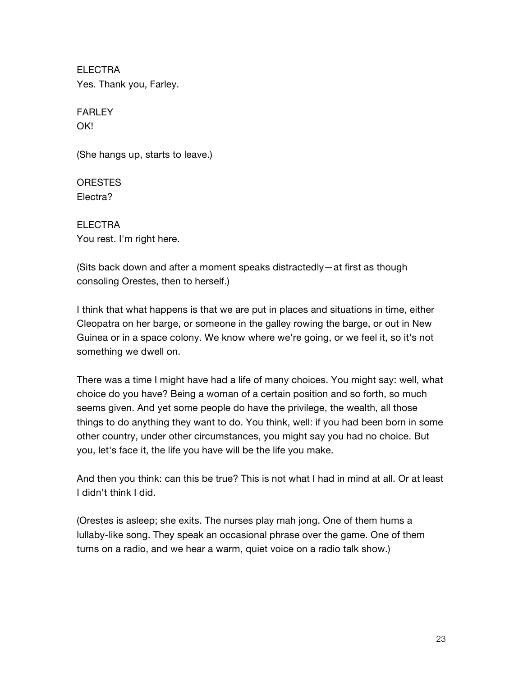ELECTRA Yes. Thank you, Farley.

FARLEY OK!

(She hangs up, starts to leave.)

ORESTES Electra?

ELECTRA You rest. I'm right here.

(Sits back down and after a moment speaks distractedly—at first as though consoling Orestes, then to herself.)

I think that what happens is that we are put in places and situations in time, either Cleopatra on her barge, or someone in the galley rowing the barge, or out in New Guinea or in a space colony. We know where we're going, or we feel it, so it's not something we dwell on.

There was a time I might have had a life of many choices. You might say: well, what choice do you have? Being a woman of a certain position and so forth, so much seems given. And yet some people do have the privilege, the wealth, all those things to do anything they want to do. You think, well: if you had been born in some other country, under other circumstances, you might say you had no choice. But you, let's face it, the life you have will be the life you make.

And then you think: can this be true? This is not what I had in mind at all. Or at least I didn't think I did.

(Orestes is asleep; she exits. The nurses play mah jong. One of them hums a lullaby-like song. They speak an occasional phrase over the game. One of them turns on a radio, and we hear a warm, quiet voice on a radio talk show.)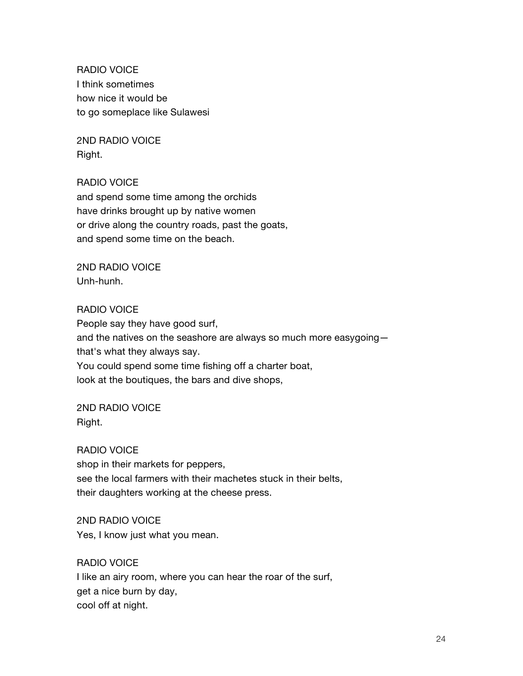RADIO VOICE I think sometimes how nice it would be to go someplace like Sulawesi

2ND RADIO VOICE Right.

#### RADIO VOICE

and spend some time among the orchids have drinks brought up by native women or drive along the country roads, past the goats, and spend some time on the beach.

2ND RADIO VOICE Unh-hunh.

# RADIO VOICE People say they have good surf, and the natives on the seashore are always so much more easygoing that's what they always say. You could spend some time fishing off a charter boat, look at the boutiques, the bars and dive shops,

2ND RADIO VOICE Right.

#### RADIO VOICE

shop in their markets for peppers, see the local farmers with their machetes stuck in their belts, their daughters working at the cheese press.

2ND RADIO VOICE Yes, I know just what you mean.

# RADIO VOICE I like an airy room, where you can hear the roar of the surf, get a nice burn by day, cool off at night.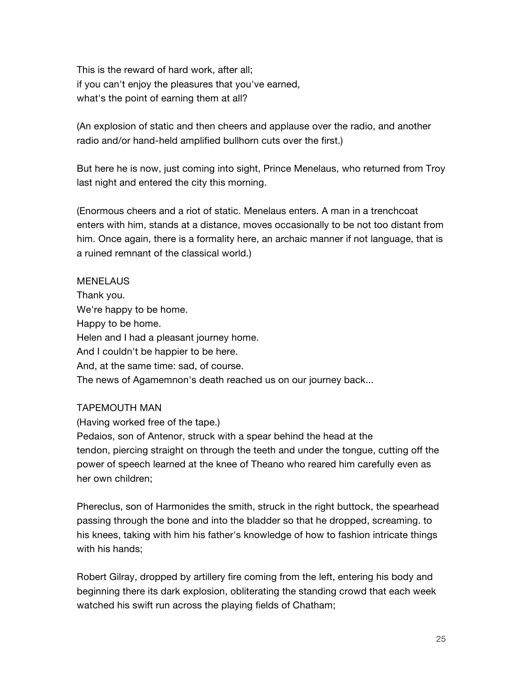This is the reward of hard work, after all; if you can't enjoy the pleasures that you've earned, what's the point of earning them at all?

(An explosion of static and then cheers and applause over the radio, and another radio and/or hand-held amplified bullhorn cuts over the first.)

But here he is now, just coming into sight, Prince Menelaus, who returned from Troy last night and entered the city this morning.

(Enormous cheers and a riot of static. Menelaus enters. A man in a trenchcoat enters with him, stands at a distance, moves occasionally to be not too distant from him. Once again, there is a formality here, an archaic manner if not language, that is a ruined remnant of the classical world.)

# **MENELAUS**

Thank you. We're happy to be home. Happy to be home. Helen and I had a pleasant journey home. And I couldn't be happier to be here. And, at the same time: sad, of course. The news of Agamemnon's death reached us on our journey back...

## TAPEMOUTH MAN

(Having worked free of the tape.)

Pedaios, son of Antenor, struck with a spear behind the head at the tendon, piercing straight on through the teeth and under the tongue, cutting off the power of speech learned at the knee of Theano who reared him carefully even as her own children;

Phereclus, son of Harmonides the smith, struck in the right buttock, the spearhead passing through the bone and into the bladder so that he dropped, screaming. to his knees, taking with him his father's knowledge of how to fashion intricate things with his hands;

Robert Gilray, dropped by artillery fire coming from the left, entering his body and beginning there its dark explosion, obliterating the standing crowd that each week watched his swift run across the playing fields of Chatham;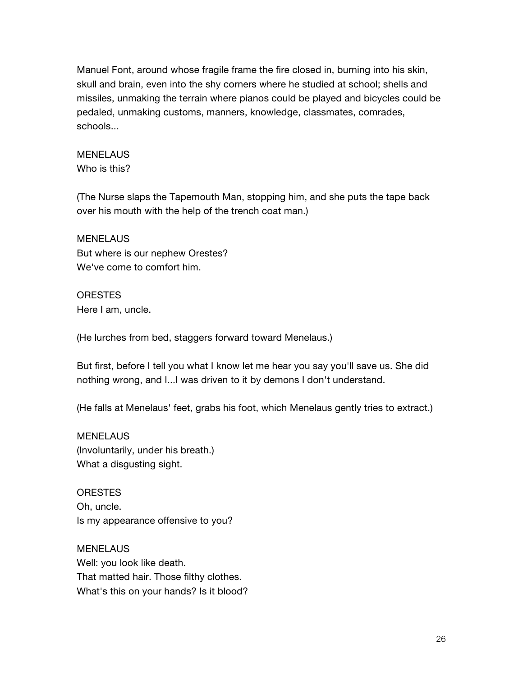Manuel Font, around whose fragile frame the fire closed in, burning into his skin, skull and brain, even into the shy corners where he studied at school; shells and missiles, unmaking the terrain where pianos could be played and bicycles could be pedaled, unmaking customs, manners, knowledge, classmates, comrades, schools...

**MENELAUS** Who is this?

(The Nurse slaps the Tapemouth Man, stopping him, and she puts the tape back over his mouth with the help of the trench coat man.)

**MENELAUS** But where is our nephew Orestes? We've come to comfort him.

**ORESTES** Here I am, uncle.

(He lurches from bed, staggers forward toward Menelaus.)

But first, before I tell you what I know let me hear you say you'll save us. She did nothing wrong, and I...I was driven to it by demons I don't understand.

(He falls at Menelaus' feet, grabs his foot, which Menelaus gently tries to extract.)

**MENELAUS** (Involuntarily, under his breath.) What a disgusting sight.

**ORESTES** Oh, uncle. Is my appearance offensive to you?

**MENELAUS** Well: you look like death. That matted hair. Those filthy clothes. What's this on your hands? Is it blood?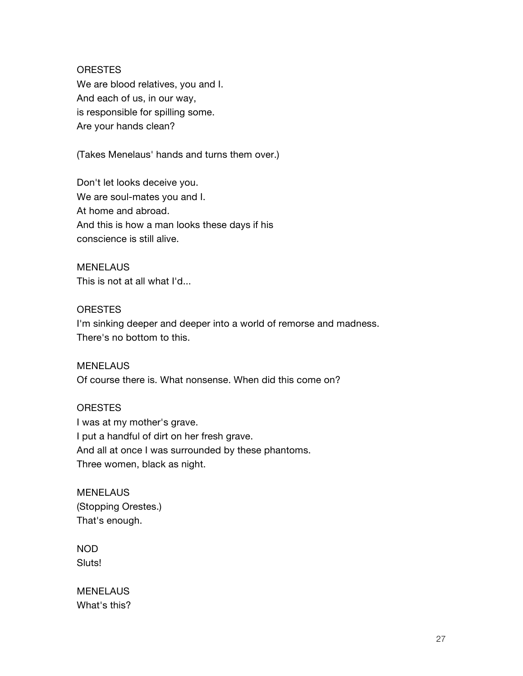#### **ORESTES**

We are blood relatives, you and I. And each of us, in our way, is responsible for spilling some. Are your hands clean?

(Takes Menelaus' hands and turns them over.)

Don't let looks deceive you. We are soul-mates you and I. At home and abroad. And this is how a man looks these days if his conscience is still alive.

**MENELAUS** This is not at all what I'd...

#### **ORESTES**

I'm sinking deeper and deeper into a world of remorse and madness. There's no bottom to this.

**MENELAUS** Of course there is. What nonsense. When did this come on?

#### **ORESTES**

I was at my mother's grave. I put a handful of dirt on her fresh grave. And all at once I was surrounded by these phantoms. Three women, black as night.

**MENELAUS** (Stopping Orestes.) That's enough.

NOD Sluts!

**MENELAUS** What's this?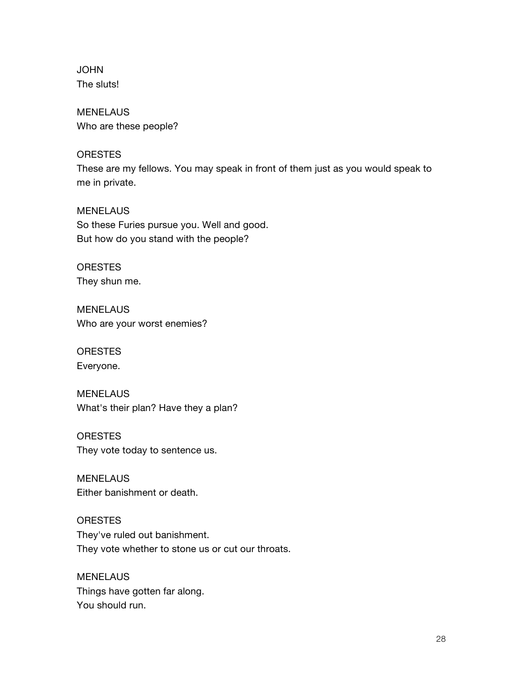JOHN The sluts!

**MENELAUS** Who are these people?

## **ORESTES**

These are my fellows. You may speak in front of them just as you would speak to me in private.

**MENELAUS** So these Furies pursue you. Well and good. But how do you stand with the people?

**ORESTES** They shun me.

**MENELAUS** Who are your worst enemies?

**ORESTES** Everyone.

**MENELAUS** What's their plan? Have they a plan?

**ORESTES** They vote today to sentence us.

**MENELAUS** Either banishment or death.

**ORESTES** They've ruled out banishment. They vote whether to stone us or cut our throats.

**MENELAUS** Things have gotten far along. You should run.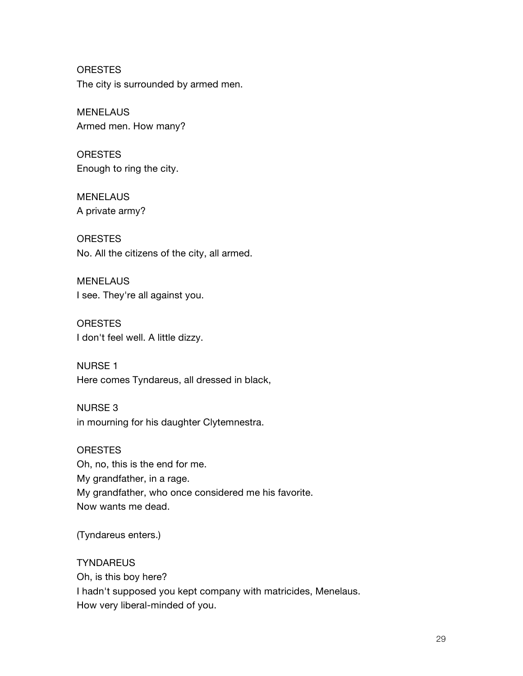**ORESTES** The city is surrounded by armed men.

**MENELAUS** Armed men. How many?

**ORESTES** Enough to ring the city.

**MENELAUS** A private army?

**ORESTES** No. All the citizens of the city, all armed.

**MENELAUS** I see. They're all against you.

**ORESTES** I don't feel well. A little dizzy.

NURSE 1 Here comes Tyndareus, all dressed in black,

NURSE 3 in mourning for his daughter Clytemnestra.

**ORESTES** Oh, no, this is the end for me. My grandfather, in a rage. My grandfather, who once considered me his favorite. Now wants me dead.

(Tyndareus enters.)

**TYNDAREUS** Oh, is this boy here? I hadn't supposed you kept company with matricides, Menelaus. How very liberal-minded of you.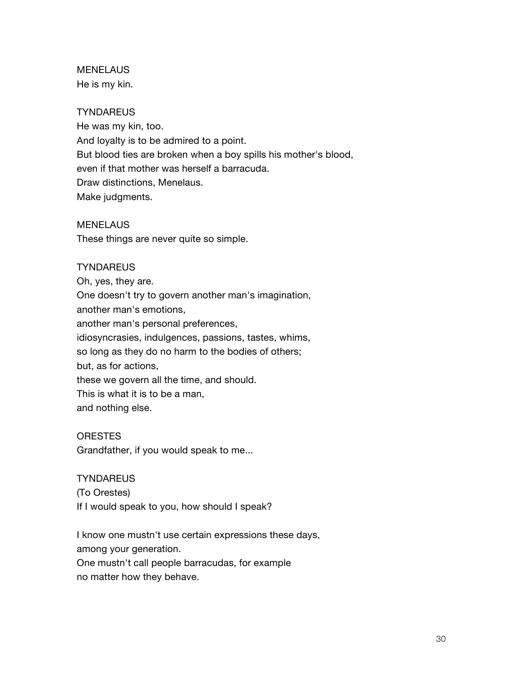**MENELAUS** He is my kin.

#### **TYNDAREUS**

He was my kin, too. And loyalty is to be admired to a point. But blood ties are broken when a boy spills his mother's blood, even if that mother was herself a barracuda. Draw distinctions, Menelaus. Make judgments.

#### **MENELAUS**

These things are never quite so simple.

#### **TYNDAREUS**

Oh, yes, they are. One doesn't try to govern another man's imagination, another man's emotions, another man's personal preferences, idiosyncrasies, indulgences, passions, tastes, whims, so long as they do no harm to the bodies of others; but, as for actions, these we govern all the time, and should. This is what it is to be a man, and nothing else.

#### **ORESTES**

Grandfather, if you would speak to me...

# **TYNDAREUS** (To Orestes) If I would speak to you, how should I speak?

I know one mustn't use certain expressions these days, among your generation. One mustn't call people barracudas, for example no matter how they behave.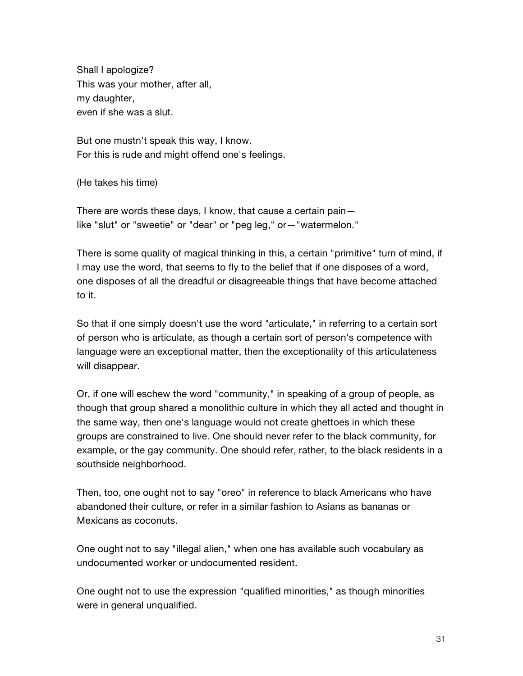Shall I apologize? This was your mother, after all, my daughter, even if she was a slut.

But one mustn't speak this way, I know. For this is rude and might offend one's feelings.

(He takes his time)

There are words these days, I know, that cause a certain pain like "slut" or "sweetie" or "dear" or "peg leg," or—"watermelon."

There is some quality of magical thinking in this, a certain "primitive" turn of mind, if I may use the word, that seems to fly to the belief that if one disposes of a word, one disposes of all the dreadful or disagreeable things that have become attached to it.

So that if one simply doesn't use the word "articulate," in referring to a certain sort of person who is articulate, as though a certain sort of person's competence with language were an exceptional matter, then the exceptionality of this articulateness will disappear.

Or, if one will eschew the word "community," in speaking of a group of people, as though that group shared a monolithic culture in which they all acted and thought in the same way, then one's language would not create ghettoes in which these groups are constrained to live. One should never refer to the black community, for example, or the gay community. One should refer, rather, to the black residents in a southside neighborhood.

Then, too, one ought not to say "oreo" in reference to black Americans who have abandoned their culture, or refer in a similar fashion to Asians as bananas or Mexicans as coconuts.

One ought not to say "illegal alien," when one has available such vocabulary as undocumented worker or undocumented resident.

One ought not to use the expression "qualified minorities," as though minorities were in general unqualified.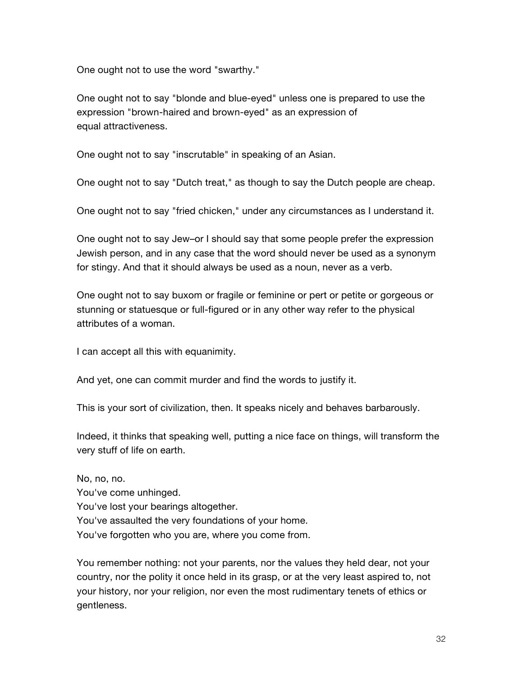One ought not to use the word "swarthy."

One ought not to say "blonde and blue-eyed" unless one is prepared to use the expression "brown-haired and brown-eyed" as an expression of equal attractiveness.

One ought not to say "inscrutable" in speaking of an Asian.

One ought not to say "Dutch treat," as though to say the Dutch people are cheap.

One ought not to say "fried chicken," under any circumstances as I understand it.

One ought not to say Jew–or I should say that some people prefer the expression Jewish person, and in any case that the word should never be used as a synonym for stingy. And that it should always be used as a noun, never as a verb.

One ought not to say buxom or fragile or feminine or pert or petite or gorgeous or stunning or statuesque or full-figured or in any other way refer to the physical attributes of a woman.

I can accept all this with equanimity.

And yet, one can commit murder and find the words to justify it.

This is your sort of civilization, then. It speaks nicely and behaves barbarously.

Indeed, it thinks that speaking well, putting a nice face on things, will transform the very stuff of life on earth.

No, no, no. You've come unhinged. You've lost your bearings altogether. You've assaulted the very foundations of your home. You've forgotten who you are, where you come from.

You remember nothing: not your parents, nor the values they held dear, not your country, nor the polity it once held in its grasp, or at the very least aspired to, not your history, nor your religion, nor even the most rudimentary tenets of ethics or gentleness.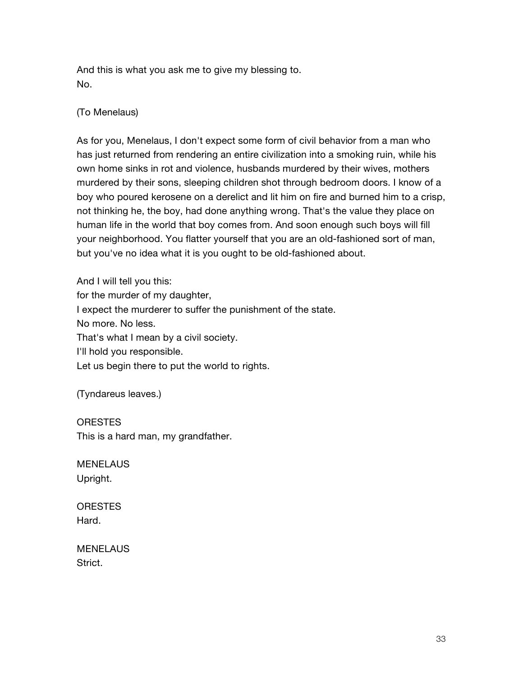And this is what you ask me to give my blessing to. No.

#### (To Menelaus)

As for you, Menelaus, I don't expect some form of civil behavior from a man who has just returned from rendering an entire civilization into a smoking ruin, while his own home sinks in rot and violence, husbands murdered by their wives, mothers murdered by their sons, sleeping children shot through bedroom doors. I know of a boy who poured kerosene on a derelict and lit him on fire and burned him to a crisp, not thinking he, the boy, had done anything wrong. That's the value they place on human life in the world that boy comes from. And soon enough such boys will fill your neighborhood. You flatter yourself that you are an old-fashioned sort of man, but you've no idea what it is you ought to be old-fashioned about.

And I will tell you this: for the murder of my daughter, I expect the murderer to suffer the punishment of the state. No more. No less. That's what I mean by a civil society. I'll hold you responsible. Let us begin there to put the world to rights.

(Tyndareus leaves.)

## **ORESTES**

This is a hard man, my grandfather.

**MENELAUS** Upright.

**ORESTES** Hard.

**MENELAUS** Strict.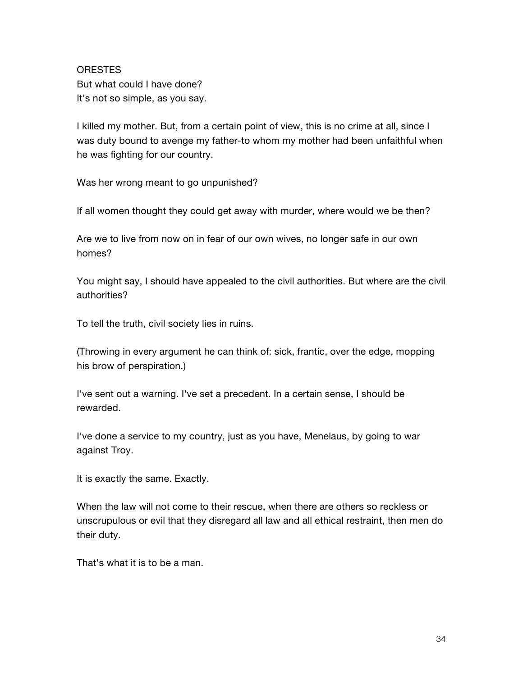**ORESTES** But what could I have done? It's not so simple, as you say.

I killed my mother. But, from a certain point of view, this is no crime at all, since I was duty bound to avenge my father-to whom my mother had been unfaithful when he was fighting for our country.

Was her wrong meant to go unpunished?

If all women thought they could get away with murder, where would we be then?

Are we to live from now on in fear of our own wives, no longer safe in our own homes?

You might say, I should have appealed to the civil authorities. But where are the civil authorities?

To tell the truth, civil society lies in ruins.

(Throwing in every argument he can think of: sick, frantic, over the edge, mopping his brow of perspiration.)

I've sent out a warning. I've set a precedent. In a certain sense, I should be rewarded.

I've done a service to my country, just as you have, Menelaus, by going to war against Troy.

It is exactly the same. Exactly.

When the law will not come to their rescue, when there are others so reckless or unscrupulous or evil that they disregard all law and all ethical restraint, then men do their duty.

That's what it is to be a man.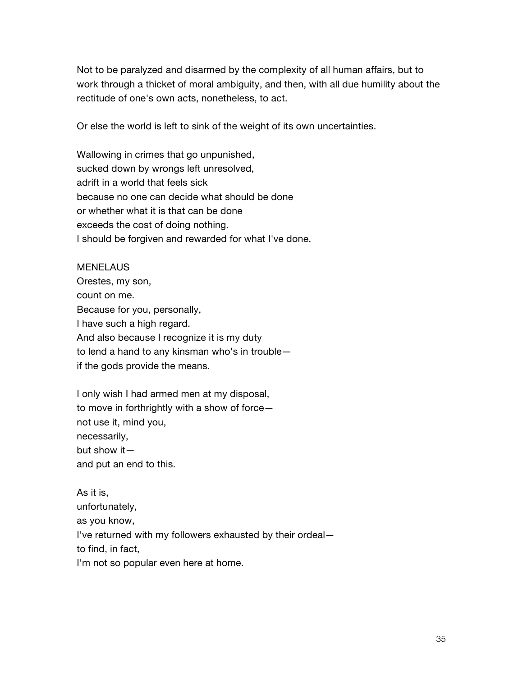Not to be paralyzed and disarmed by the complexity of all human affairs, but to work through a thicket of moral ambiguity, and then, with all due humility about the rectitude of one's own acts, nonetheless, to act.

Or else the world is left to sink of the weight of its own uncertainties.

Wallowing in crimes that go unpunished, sucked down by wrongs left unresolved, adrift in a world that feels sick because no one can decide what should be done or whether what it is that can be done exceeds the cost of doing nothing. I should be forgiven and rewarded for what I've done.

**MENELAUS** Orestes, my son, count on me. Because for you, personally, I have such a high regard. And also because I recognize it is my duty to lend a hand to any kinsman who's in trouble if the gods provide the means.

I only wish I had armed men at my disposal, to move in forthrightly with a show of force not use it, mind you, necessarily, but show it and put an end to this.

As it is, unfortunately, as you know, I've returned with my followers exhausted by their ordeal to find, in fact, I'm not so popular even here at home.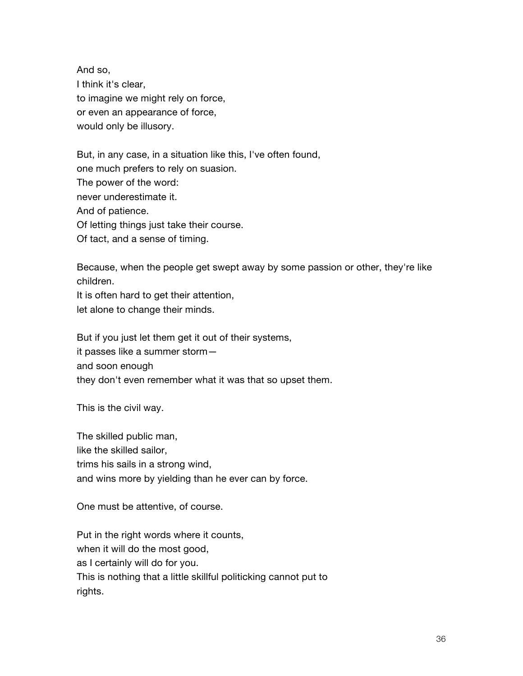And so, I think it's clear, to imagine we might rely on force, or even an appearance of force, would only be illusory.

But, in any case, in a situation like this, I've often found, one much prefers to rely on suasion. The power of the word: never underestimate it. And of patience. Of letting things just take their course. Of tact, and a sense of timing.

Because, when the people get swept away by some passion or other, they're like children.

It is often hard to get their attention, let alone to change their minds.

But if you just let them get it out of their systems, it passes like a summer storm and soon enough they don't even remember what it was that so upset them.

This is the civil way.

The skilled public man, like the skilled sailor, trims his sails in a strong wind, and wins more by yielding than he ever can by force.

One must be attentive, of course.

Put in the right words where it counts, when it will do the most good, as I certainly will do for you. This is nothing that a little skillful politicking cannot put to rights.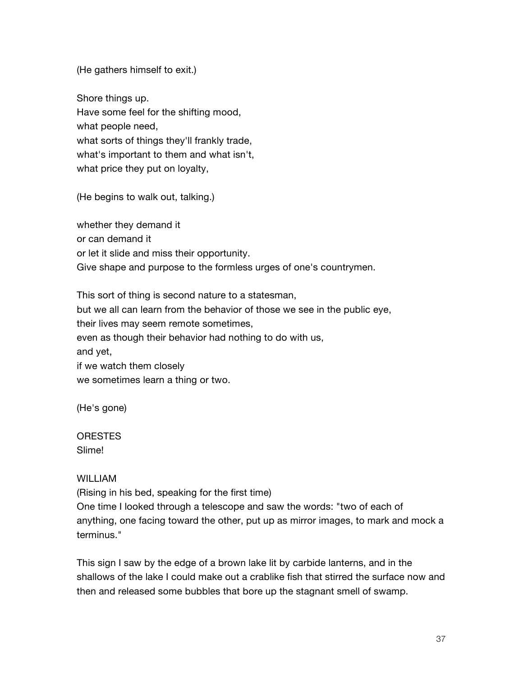(He gathers himself to exit.)

Shore things up. Have some feel for the shifting mood, what people need, what sorts of things they'll frankly trade, what's important to them and what isn't, what price they put on loyalty,

(He begins to walk out, talking.)

whether they demand it or can demand it or let it slide and miss their opportunity. Give shape and purpose to the formless urges of one's countrymen.

This sort of thing is second nature to a statesman, but we all can learn from the behavior of those we see in the public eye, their lives may seem remote sometimes, even as though their behavior had nothing to do with us, and yet, if we watch them closely we sometimes learn a thing or two.

(He's gone)

**ORESTES** Slime!

#### WILLIAM

(Rising in his bed, speaking for the first time)

One time I looked through a telescope and saw the words: "two of each of anything, one facing toward the other, put up as mirror images, to mark and mock a terminus."

This sign I saw by the edge of a brown lake lit by carbide lanterns, and in the shallows of the lake I could make out a crablike fish that stirred the surface now and then and released some bubbles that bore up the stagnant smell of swamp.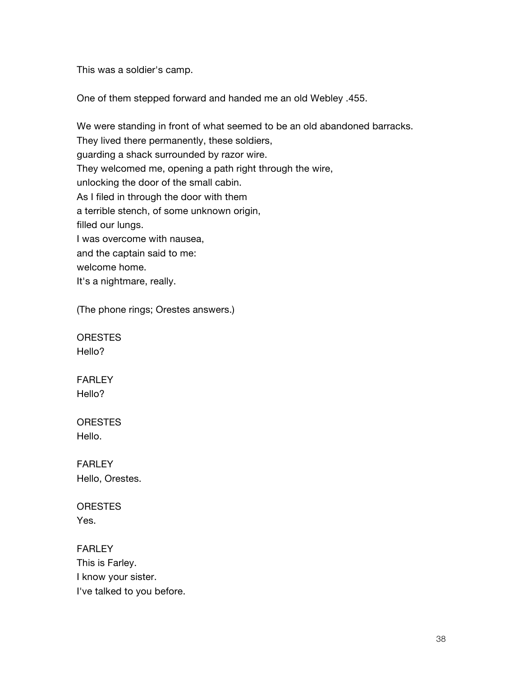This was a soldier's camp.

One of them stepped forward and handed me an old Webley .455.

We were standing in front of what seemed to be an old abandoned barracks. They lived there permanently, these soldiers, guarding a shack surrounded by razor wire. They welcomed me, opening a path right through the wire, unlocking the door of the small cabin. As I filed in through the door with them a terrible stench, of some unknown origin, filled our lungs. I was overcome with nausea, and the captain said to me: welcome home. It's a nightmare, really.

(The phone rings; Orestes answers.)

**ORESTES** Hello?

FARLEY Hello?

**ORESTES** Hello.

FARLEY Hello, Orestes.

**ORESTES** Yes.

FARLEY This is Farley. I know your sister. I've talked to you before.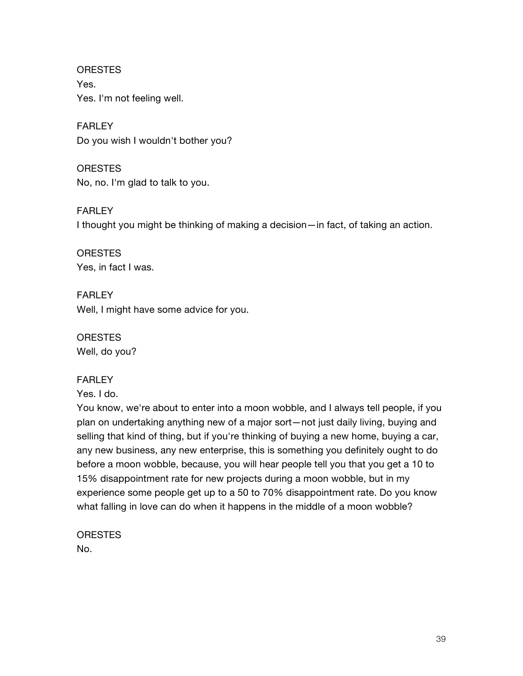**ORESTES** Yes. Yes. I'm not feeling well.

**FARLEY** Do you wish I wouldn't bother you?

ORESTES No, no. I'm glad to talk to you.

FARLEY I thought you might be thinking of making a decision—in fact, of taking an action.

**ORESTES** Yes, in fact I was.

**FARLEY** Well, I might have some advice for you.

**ORESTES** Well, do you?

# FARLEY

Yes. I do.

You know, we're about to enter into a moon wobble, and I always tell people, if you plan on undertaking anything new of a major sort—not just daily living, buying and selling that kind of thing, but if you're thinking of buying a new home, buying a car, any new business, any new enterprise, this is something you definitely ought to do before a moon wobble, because, you will hear people tell you that you get a 10 to 15% disappointment rate for new projects during a moon wobble, but in my experience some people get up to a 50 to 70% disappointment rate. Do you know what falling in love can do when it happens in the middle of a moon wobble?

**ORESTES** No.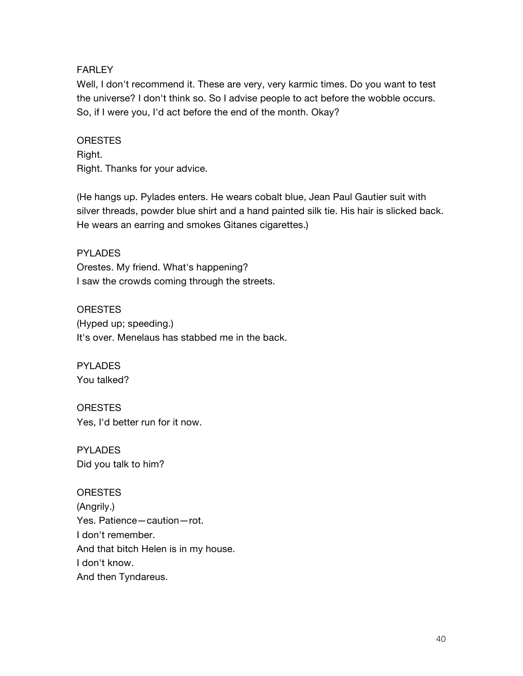**FARLEY** 

Well, I don't recommend it. These are very, very karmic times. Do you want to test the universe? I don't think so. So I advise people to act before the wobble occurs. So, if I were you, I'd act before the end of the month. Okay?

**ORESTES** Right. Right. Thanks for your advice.

(He hangs up. Pylades enters. He wears cobalt blue, Jean Paul Gautier suit with silver threads, powder blue shirt and a hand painted silk tie. His hair is slicked back. He wears an earring and smokes Gitanes cigarettes.)

PYLADES Orestes. My friend. What's happening? I saw the crowds coming through the streets.

**ORESTES** (Hyped up; speeding.) It's over. Menelaus has stabbed me in the back.

PYLADES You talked?

**ORESTES** Yes, I'd better run for it now.

PYLADES Did you talk to him?

**ORESTES** (Angrily.) Yes. Patience—caution—rot. I don't remember. And that bitch Helen is in my house. I don't know. And then Tyndareus.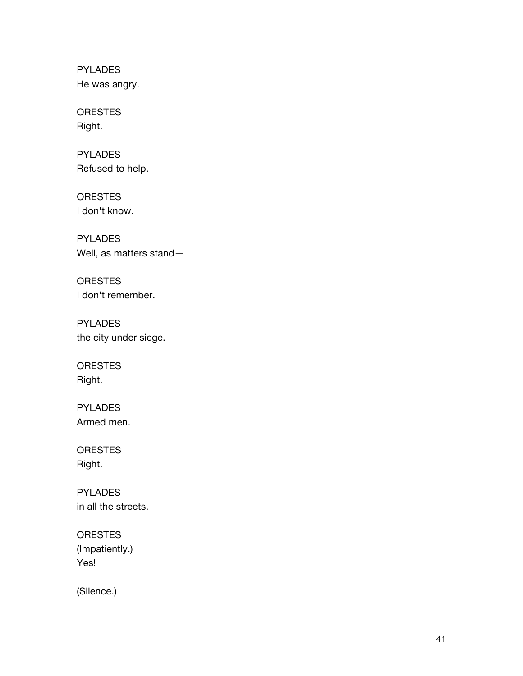PYLADES He was angry.

**ORESTES** Right.

PYLADES Refused to help.

**ORESTES** I don't know.

PYLADES Well, as matters stand —

**ORESTES** I don't remember.

PYLADES the city under siege.

ORESTES Right.

PYLADES Armed men.

**ORESTES** Right.

PYLADE S in all the streets.

ORESTES (Impatiently.) Yes!

(Silence.)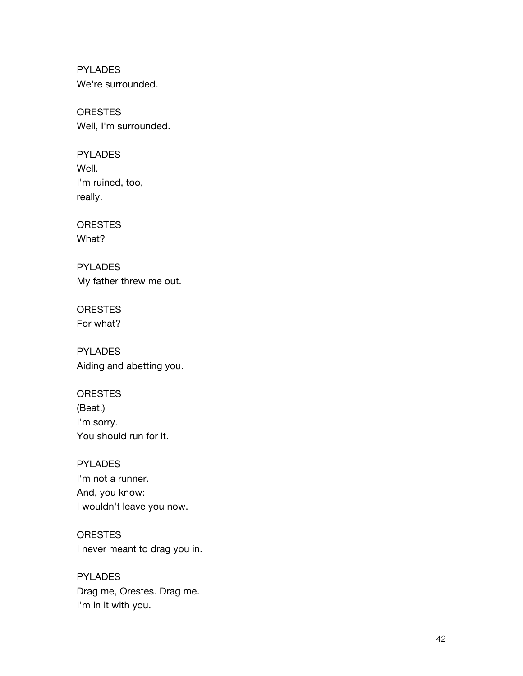PYLADES We're surrounded.

**ORESTES** Well, I'm surrounded.

PYLADES Well. I'm ruined, too, really.

**ORESTES** What?

PYLADES My father threw me out.

**ORESTES** For what?

PYLADES Aiding and abetting you.

**ORESTES** (Beat.) I'm sorry. You should run for it.

PYLADES I'm not a runner. And, you know: I wouldn't leave you now.

**ORESTES** I never meant to drag you in.

PYLADES Drag me, Orestes. Drag me. I'm in it with you.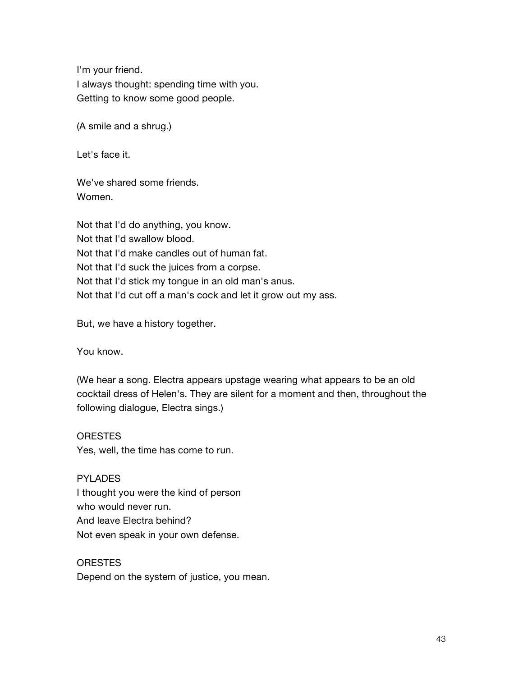I'm your friend. I always thought: spending time with you. Getting to know some good people.

(A smile and a shrug.)

Let's face it.

We've shared some friends. Women.

Not that I'd do anything, you know. Not that I'd swallow blood. Not that I'd make candles out of human fat. Not that I'd suck the juices from a corpse. Not that I'd stick my tongue in an old man's anus. Not that I'd cut off a man's cock and let it grow out my ass.

But, we have a history together.

You know.

(We hear a song. Electra appears upstage wearing what appears to be an old cocktail dress of Helen's. They are silent for a moment and then, throughout the following dialogue, Electra sings.)

**ORESTES** Yes, well, the time has come to run.

PYLADES I thought you were the kind of person who would never run. And leave Electra behind? Not even speak in your own defense.

**ORESTES** Depend on the system of justice, you mean.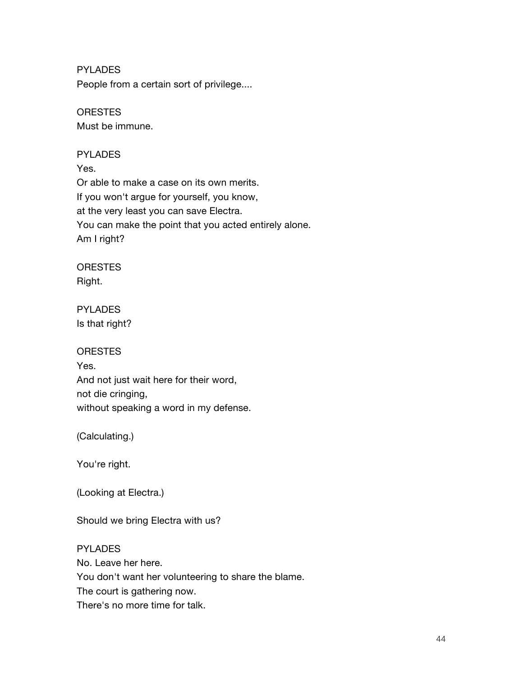PYLADES

People from a certain sort of privilege....

#### **ORESTES**

Must be immune.

## PYLADES

Yes. Or able to make a case on its own merits. If you won't argue for yourself, you know, at the very least you can save Electra. You can make the point that you acted entirely alone. Am I right?

**ORESTES** Right.

PYLADES Is that right?

#### **ORESTES**

Yes. And not just wait here for their word, not die cringing, without speaking a word in my defense.

(Calculating.)

You're right.

(Looking at Electra.)

Should we bring Electra with us?

PYLADES No. Leave her here. You don't want her volunteering to share the blame. The court is gathering now. There's no more time for talk.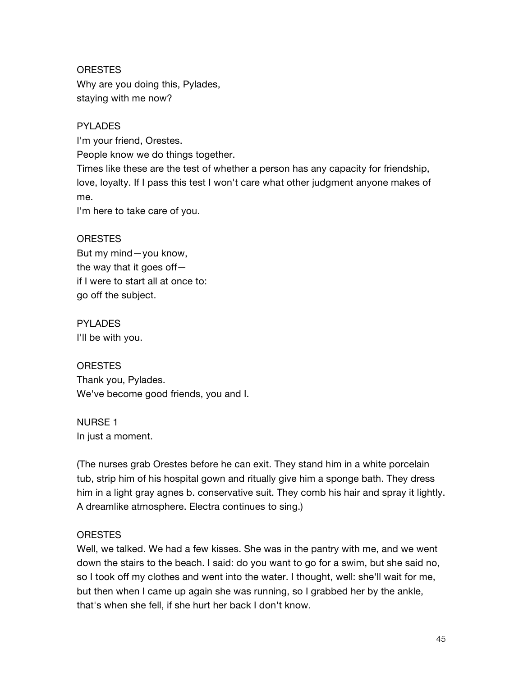**ORESTES** Why are you doing this, Pylades, staying with me now?

#### **PYLADES**

I'm your friend, Orestes. People know we do things together. Times like these are the test of whether a person has any capacity for friendship, love, loyalty. If I pass this test I won't care what other judgment anyone makes of me.

I'm here to take care of you.

# **ORESTES**

But my mind—you know, the way that it goes off if I were to start all at once to: go off the subject.

PYLADES I'll be with you.

**ORESTES** Thank you, Pylades. We've become good friends, you and I.

NURSE 1 In just a moment.

(The nurses grab Orestes before he can exit. They stand him in a white porcelain tub, strip him of his hospital gown and ritually give him a sponge bath. They dress him in a light gray agnes b. conservative suit. They comb his hair and spray it lightly. A dreamlike atmosphere. Electra continues to sing.)

#### **ORESTES**

Well, we talked. We had a few kisses. She was in the pantry with me, and we went down the stairs to the beach. I said: do you want to go for a swim, but she said no, so I took off my clothes and went into the water. I thought, well: she'll wait for me, but then when I came up again she was running, so I grabbed her by the ankle, that's when she fell, if she hurt her back I don't know.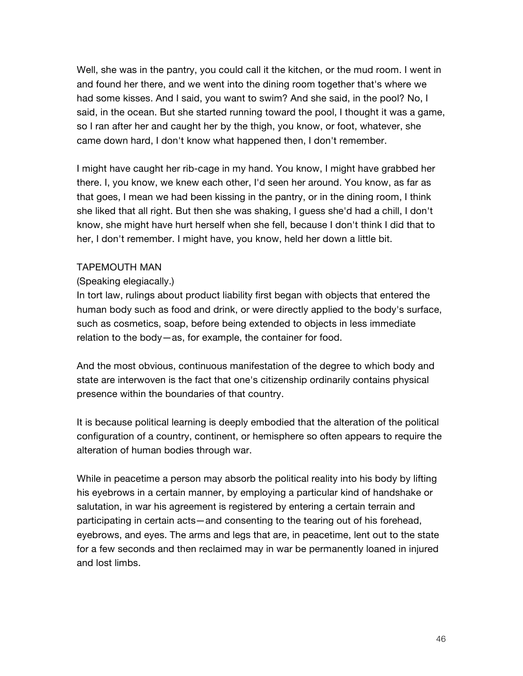Well, she was in the pantry, you could call it the kitchen, or the mud room. I went in and found her there, and we went into the dining room together that's where we had some kisses. And I said, you want to swim? And she said, in the pool? No, I said, in the ocean. But she started running toward the pool, I thought it was a game, so I ran after her and caught her by the thigh, you know, or foot, whatever, she came down hard, I don't know what happened then, I don't remember.

I might have caught her rib-cage in my hand. You know, I might have grabbed her there. I, you know, we knew each other, I'd seen her around. You know, as far as that goes, I mean we had been kissing in the pantry, or in the dining room, I think she liked that all right. But then she was shaking, I guess she'd had a chill, I don't know, she might have hurt herself when she fell, because I don't think I did that to her, I don't remember. I might have, you know, held her down a little bit.

#### TAPEMOUTH MAN

#### (Speaking elegiacally.)

In tort law, rulings about product liability first began with objects that entered the human body such as food and drink, or were directly applied to the body's surface, such as cosmetics, soap, before being extended to objects in less immediate relation to the body—as, for example, the container for food.

And the most obvious, continuous manifestation of the degree to which body and state are interwoven is the fact that one's citizenship ordinarily contains physical presence within the boundaries of that country.

It is because political learning is deeply embodied that the alteration of the political configuration of a country, continent, or hemisphere so often appears to require the alteration of human bodies through war.

While in peacetime a person may absorb the political reality into his body by lifting his eyebrows in a certain manner, by employing a particular kind of handshake or salutation, in war his agreement is registered by entering a certain terrain and participating in certain acts—and consenting to the tearing out of his forehead, eyebrows, and eyes. The arms and legs that are, in peacetime, lent out to the state for a few seconds and then reclaimed may in war be permanently loaned in injured and lost limbs.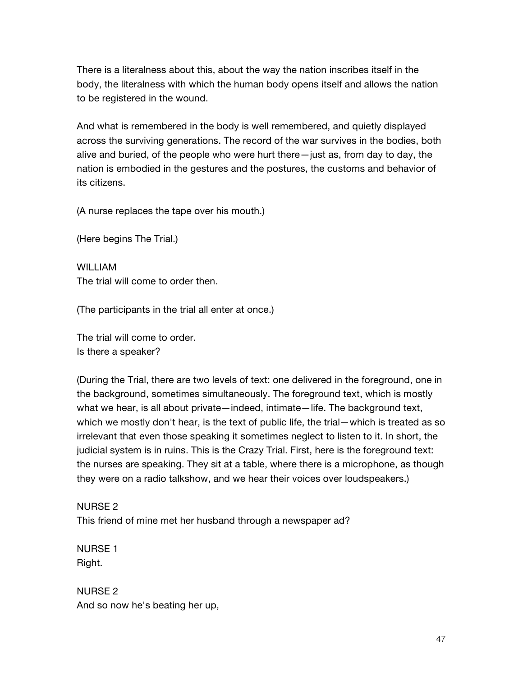There is a literalness about this, about the way the nation inscribes itself in the body, the literalness with which the human body opens itself and allows the nation to be registered in the wound.

And what is remembered in the body is well remembered, and quietly displayed across the surviving generations. The record of the war survives in the bodies, both alive and buried, of the people who were hurt there—just as, from day to day, the nation is embodied in the gestures and the postures, the customs and behavior of its citizens.

(A nurse replaces the tape over his mouth.)

(Here begins The Trial.)

WILLIAM The trial will come to order then.

(The participants in the trial all enter at once.)

The trial will come to order. Is there a speaker?

(During the Trial, there are two levels of text: one delivered in the foreground, one in the background, sometimes simultaneously. The foreground text, which is mostly what we hear, is all about private—indeed, intimate—life. The background text, which we mostly don't hear, is the text of public life, the trial—which is treated as so irrelevant that even those speaking it sometimes neglect to listen to it. In short, the judicial system is in ruins. This is the Crazy Trial. First, here is the foreground text: the nurses are speaking. They sit at a table, where there is a microphone, as though they were on a radio talkshow, and we hear their voices over loudspeakers.)

NURSE 2 This friend of mine met her husband through a newspaper ad?

NURSE 1 Right.

NURSE 2 And so now he's beating her up,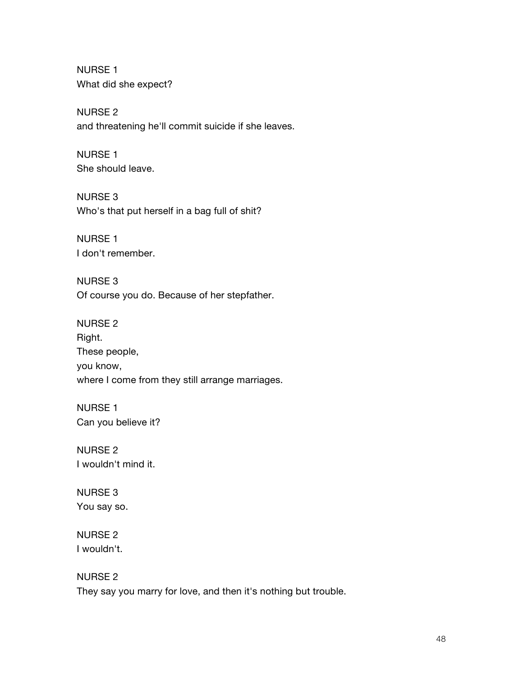NURSE 1 What did she expect?

NURSE 2 and threatening he'll commit suicide if she leaves.

NURSE 1 She should leave.

NURSE 3 Who's that put herself in a bag full of shit?

NURSE 1 I don't remember.

NURSE 3 Of course you do. Because of her stepfather.

NURSE 2 Right. These people, you know, where I come from they still arrange marriages.

NURSE 1 Can you believe it?

NURSE 2 I wouldn't mind it.

NURSE 3 You say so.

NURSE 2 I wouldn't.

NURSE 2

They say you marry for love, and then it's nothing but trouble.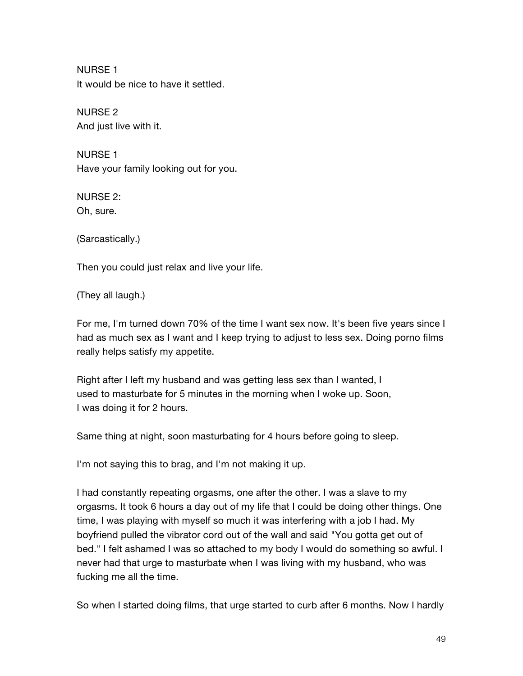NURSE 1 It would be nice to have it settled.

NURSE 2 And just live with it.

NURSE 1 Have your family looking out for you.

NURSE 2: Oh, sure.

(Sarcastically.)

Then you could just relax and live your life.

(They all laugh.)

For me, I'm turned down 70% of the time I want sex now. It's been five years since I had as much sex as I want and I keep trying to adjust to less sex. Doing porno films really helps satisfy my appetite.

Right after I left my husband and was getting less sex than I wanted, I used to masturbate for 5 minutes in the morning when I woke up. Soon, I was doing it for 2 hours.

Same thing at night, soon masturbating for 4 hours before going to sleep.

I'm not saying this to brag, and I'm not making it up.

I had constantly repeating orgasms, one after the other. I was a slave to my orgasms. It took 6 hours a day out of my life that I could be doing other things. One time, I was playing with myself so much it was interfering with a job I had. My boyfriend pulled the vibrator cord out of the wall and said "You gotta get out of bed." I felt ashamed I was so attached to my body I would do something so awful. I never had that urge to masturbate when I was living with my husband, who was fucking me all the time.

So when I started doing films, that urge started to curb after 6 months. Now I hardly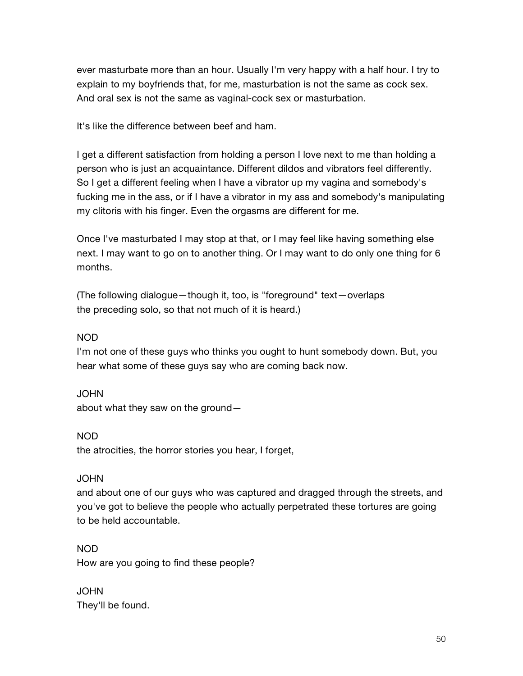ever masturbate more than an hour. Usually I'm very happy with a half hour. I try to explain to my boyfriends that, for me, masturbation is not the same as cock sex. And oral sex is not the same as vaginal-cock sex or masturbation.

It's like the difference between beef and ham.

I get a different satisfaction from holding a person I love next to me than holding a person who is just an acquaintance. Different dildos and vibrators feel differently. So I get a different feeling when I have a vibrator up my vagina and somebody's fucking me in the ass, or if I have a vibrator in my ass and somebody's manipulating my clitoris with his finger. Even the orgasms are different for me.

Once I've masturbated I may stop at that, or I may feel like having something else next. I may want to go on to another thing. Or I may want to do only one thing for 6 months.

(The following dialogue—though it, too, is "foreground" text—overlaps the preceding solo, so that not much of it is heard.)

#### NOD

I'm not one of these guys who thinks you ought to hunt somebody down. But, you hear what some of these guys say who are coming back now.

JOHN about what they saw on the ground—

#### NOD

the atrocities, the horror stories you hear, I forget,

# JOHN

and about one of our guys who was captured and dragged through the streets, and you've got to believe the people who actually perpetrated these tortures are going to be held accountable.

#### NOD

How are you going to find these people?

JOHN They'll be found.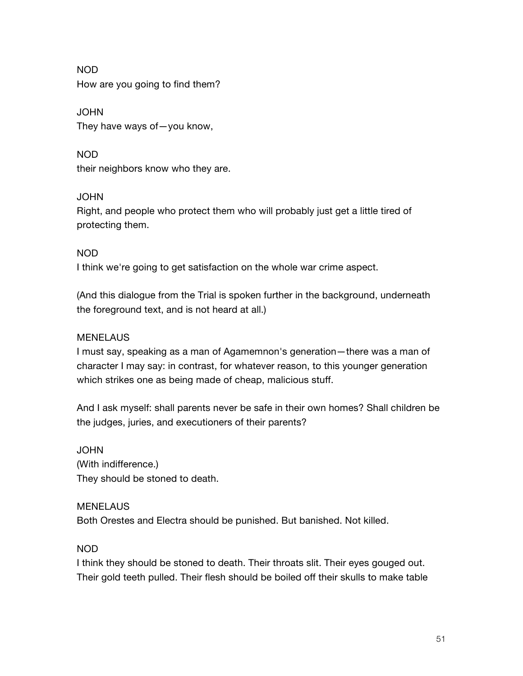NOD How are you going to find them?

**JOHN** They have ways of—you know,

NOD their neighbors know who they are.

# JOHN

Right, and people who protect them who will probably just get a little tired of protecting them.

NOD

I think we're going to get satisfaction on the whole war crime aspect.

(And this dialogue from the Trial is spoken further in the background, underneath the foreground text, and is not heard at all.)

# **MENELAUS**

I must say, speaking as a man of Agamemnon's generation—there was a man of character I may say: in contrast, for whatever reason, to this younger generation which strikes one as being made of cheap, malicious stuff.

And I ask myself: shall parents never be safe in their own homes? Shall children be the judges, juries, and executioners of their parents?

JOHN (With indifference.) They should be stoned to death.

#### **MENELAUS**

Both Orestes and Electra should be punished. But banished. Not killed.

## NOD

I think they should be stoned to death. Their throats slit. Their eyes gouged out. Their gold teeth pulled. Their flesh should be boiled off their skulls to make table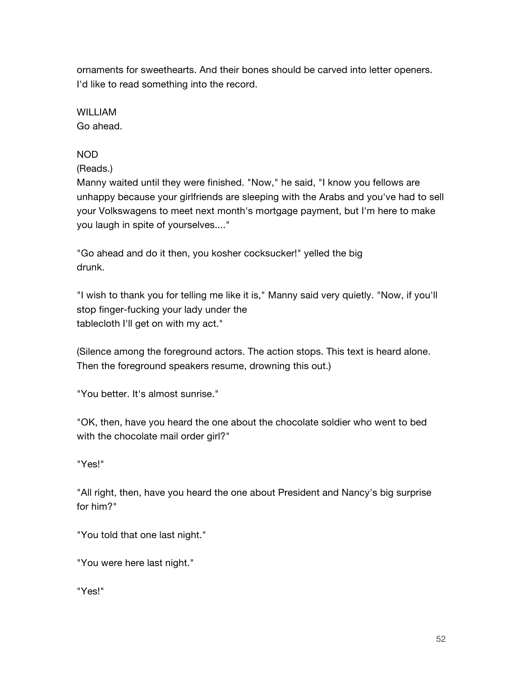ornaments for sweethearts. And their bones should be carved into letter openers. I'd like to read something into the record.

WILLIAM

Go ahead.

# NOD

(Reads.)

Manny waited until they were finished. "Now," he said, "I know you fellows are unhappy because your girlfriends are sleeping with the Arabs and you've had to sell your Volkswagens to meet next month's mortgage payment, but I'm here to make you laugh in spite of yourselves...."

"Go ahead and do it then, you kosher cocksucker!" yelled the big drunk.

"I wish to thank you for telling me like it is," Manny said very quietly. "Now, if you'll stop finger-fucking your lady under the tablecloth I'll get on with my act."

(Silence among the foreground actors. The action stops. This text is heard alone. Then the foreground speakers resume, drowning this out.)

"You better. It's almost sunrise."

"OK, then, have you heard the one about the chocolate soldier who went to bed with the chocolate mail order girl?"

"Yes!"

"All right, then, have you heard the one about President and Nancy's big surprise for him?"

"You told that one last night."

"You were here last night."

"Yes!"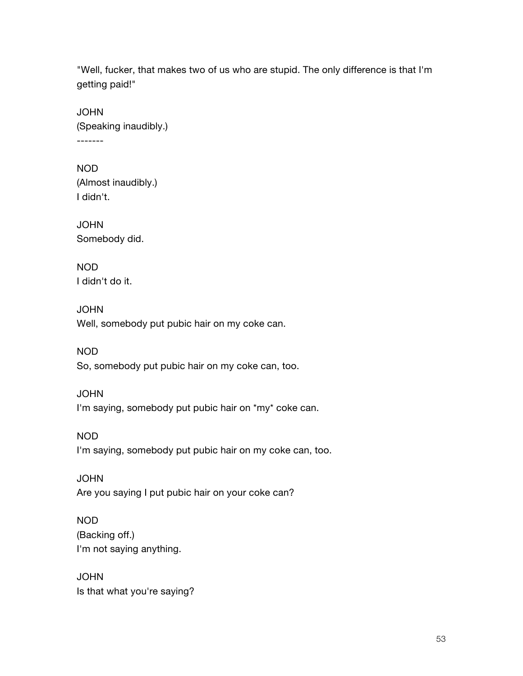"Well, fucker, that makes two of us who are stupid. The only difference is that I'm getting paid!"

JOHN (Speaking inaudibly.) -------

NOD (Almost inaudibly.) I didn't.

JOHN Somebody did.

NOD I didn't do it.

JOHN Well, somebody put pubic hair on my coke can.

NOD So, somebody put pubic hair on my coke can, too.

JOHN I'm saying, somebody put pubic hair on \*my\* coke can.

NOD I'm saying, somebody put pubic hair on my coke can, too.

JOHN Are you saying I put pubic hair on your coke can?

NOD (Backing off.) I'm not saying anything.

JOHN Is that what you're saying?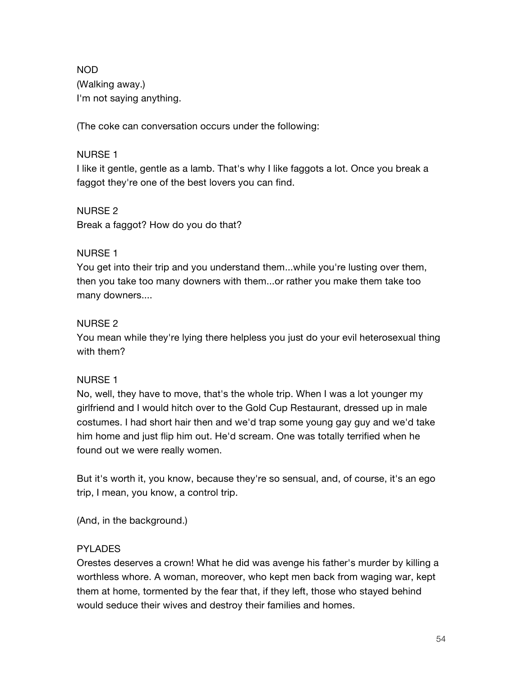NOD (Walking away.) I'm not saying anything.

(The coke can conversation occurs under the following:

# NURSE 1

I like it gentle, gentle as a lamb. That's why I like faggots a lot. Once you break a faggot they're one of the best lovers you can find.

NURSE 2 Break a faggot? How do you do that?

# NURSE 1

You get into their trip and you understand them...while you're lusting over them, then you take too many downers with them...or rather you make them take too many downers....

#### NURSE 2

You mean while they're lying there helpless you just do your evil heterosexual thing with them?

#### NURSE 1

No, well, they have to move, that's the whole trip. When I was a lot younger my girlfriend and I would hitch over to the Gold Cup Restaurant, dressed up in male costumes. I had short hair then and we'd trap some young gay guy and we'd take him home and just flip him out. He'd scream. One was totally terrified when he found out we were really women.

But it's worth it, you know, because they're so sensual, and, of course, it's an ego trip, I mean, you know, a control trip.

(And, in the background.)

#### PYLADES

Orestes deserves a crown! What he did was avenge his father's murder by killing a worthless whore. A woman, moreover, who kept men back from waging war, kept them at home, tormented by the fear that, if they left, those who stayed behind would seduce their wives and destroy their families and homes.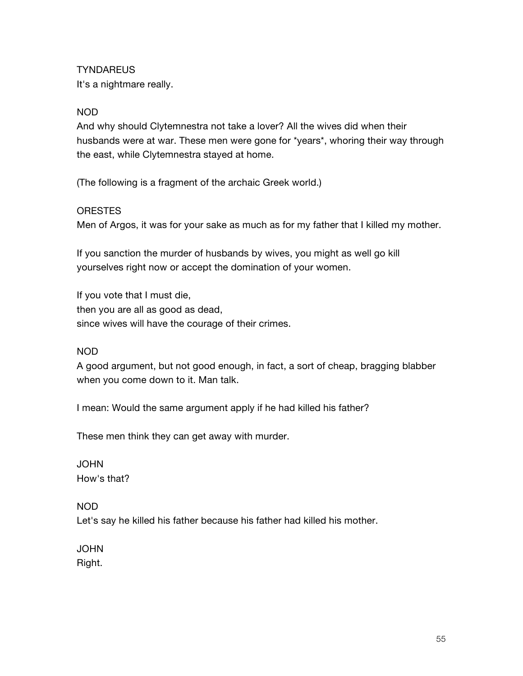**TYNDAREUS** It's a nightmare really.

## NOD

And why should Clytemnestra not take a lover? All the wives did when their husbands were at war. These men were gone for \*years\*, whoring their way through the east, while Clytemnestra stayed at home.

(The following is a fragment of the archaic Greek world.)

# **ORESTES**

Men of Argos, it was for your sake as much as for my father that I killed my mother.

If you sanction the murder of husbands by wives, you might as well go kill yourselves right now or accept the domination of your women.

If you vote that I must die, then you are all as good as dead, since wives will have the courage of their crimes.

#### NOD

A good argument, but not good enough, in fact, a sort of cheap, bragging blabber when you come down to it. Man talk.

I mean: Would the same argument apply if he had killed his father?

These men think they can get away with murder.

JOHN How's that?

NOD Let's say he killed his father because his father had killed his mother.

JOHN Right.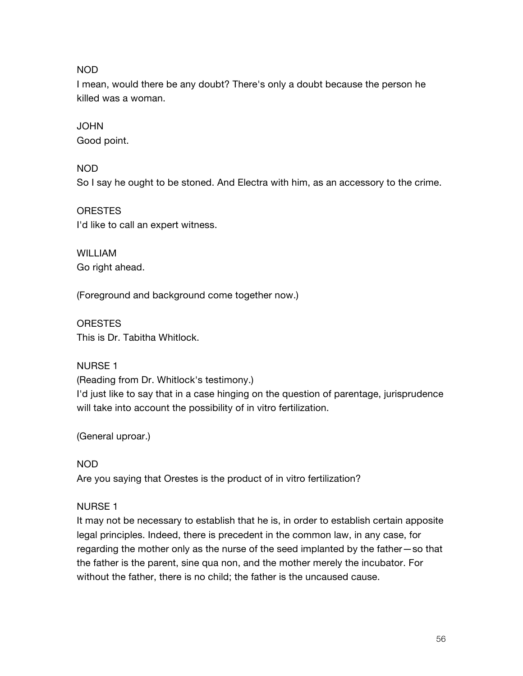## NOD

I mean, would there be any doubt? There's only a doubt because the person he killed was a woman.

# JOHN

Good point.

# NOD

So I say he ought to be stoned. And Electra with him, as an accessory to the crime.

# **ORESTES** I'd like to call an expert witness.

WILLIAM Go right ahead.

(Foreground and background come together now.)

**ORESTES** This is Dr. Tabitha Whitlock.

#### NURSE 1

(Reading from Dr. Whitlock's testimony.) I'd just like to say that in a case hinging on the question of parentage, jurisprudence will take into account the possibility of in vitro fertilization.

(General uproar.)

# NOD

Are you saying that Orestes is the product of in vitro fertilization?

# NURSE 1

It may not be necessary to establish that he is, in order to establish certain apposite legal principles. Indeed, there is precedent in the common law, in any case, for regarding the mother only as the nurse of the seed implanted by the father—so that the father is the parent, sine qua non, and the mother merely the incubator. For without the father, there is no child; the father is the uncaused cause.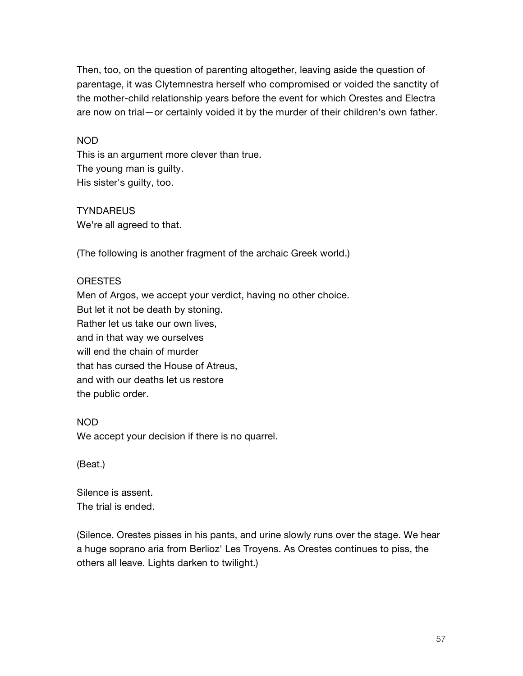Then, too, on the question of parenting altogether, leaving aside the question of parentage, it was Clytemnestra herself who compromised or voided the sanctity of the mother-child relationship years before the event for which Orestes and Electra are now on trial—or certainly voided it by the murder of their children's own father.

#### NOD

This is an argument more clever than true. The young man is guilty. His sister's guilty, too.

**TYNDAREUS** We're all agreed to that.

(The following is another fragment of the archaic Greek world.)

#### ORESTES

Men of Argos, we accept your verdict, having no other choice. But let it not be death by stoning. Rather let us take our own lives, and in that way we ourselves will end the chain of murder that has cursed the House of Atreus, and with our deaths let us restore the public order.

#### NOD

We accept your decision if there is no quarrel.

(Beat.)

Silence is assent. The trial is ended.

(Silence. Orestes pisses in his pants, and urine slowly runs over the stage. We hear a huge soprano aria from Berlioz' Les Troyens. As Orestes continues to piss, the others all leave. Lights darken to twilight.)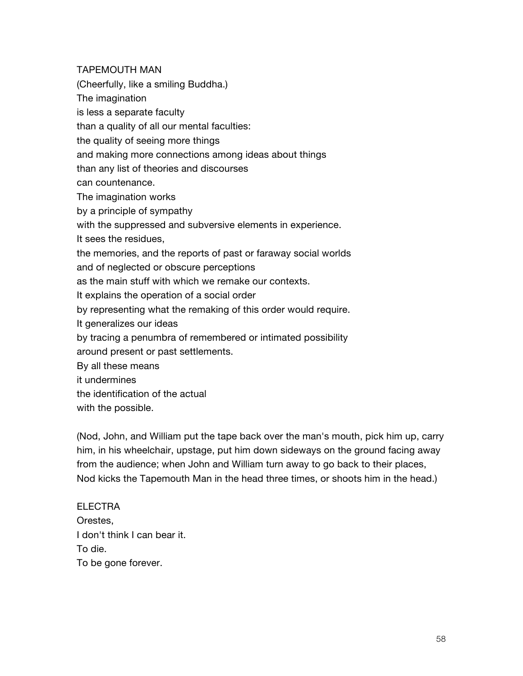#### TAPEMOUTH MAN

(Cheerfully, like a smiling Buddha.) The imagination is less a separate faculty than a quality of all our mental faculties: the quality of seeing more things and making more connections among ideas about things than any list of theories and discourses can countenance. The imagination works by a principle of sympathy with the suppressed and subversive elements in experience. It sees the residues, the memories, and the reports of past or faraway social worlds and of neglected or obscure perceptions as the main stuff with which we remake our contexts. It explains the operation of a social order by representing what the remaking of this order would require. It generalizes our ideas by tracing a penumbra of remembered or intimated possibility around present or past settlements. By all these means it undermines the identification of the actual with the possible.

(Nod, John, and William put the tape back over the man's mouth, pick him up, carry him, in his wheelchair, upstage, put him down sideways on the ground facing away from the audience; when John and William turn away to go back to their places, Nod kicks the Tapemouth Man in the head three times, or shoots him in the head.)

#### ELECTRA

Orestes, I don't think I can bear it. To die. To be gone forever.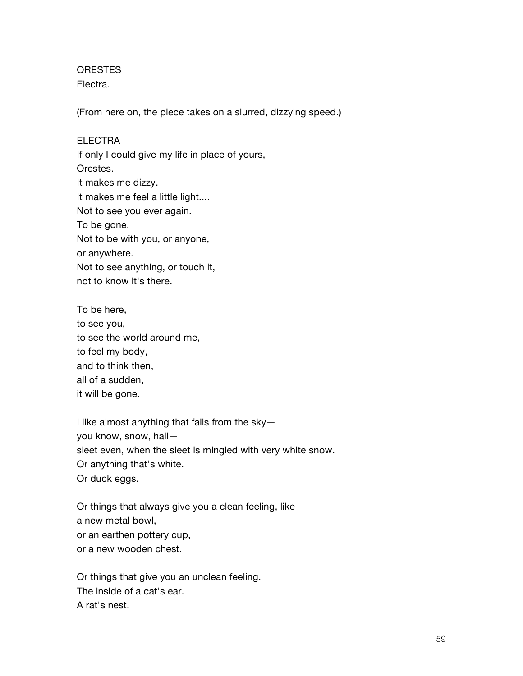**ORESTES** Electra.

(From here on, the piece takes on a slurred, dizzying speed.)

#### ELECTRA

If only I could give my life in place of yours, Orestes. It makes me dizzy. It makes me feel a little light.... Not to see you ever again. To be gone. Not to be with you, or anyone, or anywhere. Not to see anything, or touch it, not to know it's there.

To be here, to see you, to see the world around me, to feel my body, and to think then, all of a sudden, it will be gone.

I like almost anything that falls from the sky you know, snow, hail sleet even, when the sleet is mingled with very white snow. Or anything that's white. Or duck eggs.

Or things that always give you a clean feeling, like a new metal bowl, or an earthen pottery cup, or a new wooden chest.

Or things that give you an unclean feeling. The inside of a cat's ear. A rat's nest.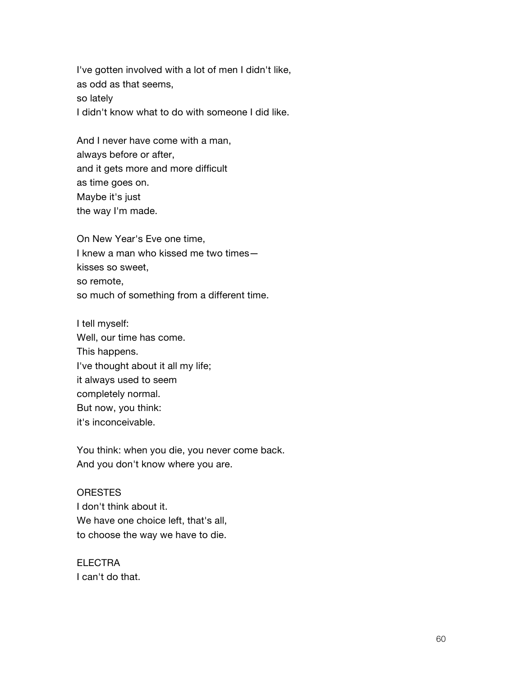I've gotten involved with a lot of men I didn't like, as odd as that seems, so lately I didn't know what to do with someone I did like.

And I never have come with a man, always before or after, and it gets more and more difficult as time goes on. Maybe it's just the way I'm made.

On New Year's Eve one time, I knew a man who kissed me two times kisses so sweet, so remote, so much of something from a different time.

I tell myself: Well, our time has come. This happens. I've thought about it all my life; it always used to seem completely normal. But now, you think: it's inconceivable.

You think: when you die, you never come back. And you don't know where you are.

**ORESTES** I don't think about it. We have one choice left, that's all, to choose the way we have to die.

**ELECTRA** I can't do that.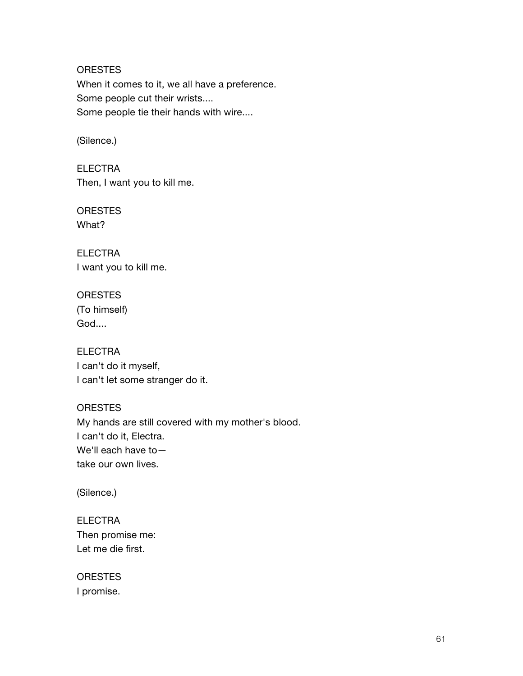**ORESTES** When it comes to it, we all have a preference. Some people cut their wrists.... Some people tie their hands with wire....

(Silence.)

ELECTRA Then, I want you to kill me.

**ORESTES** What?

ELECTRA I want you to kill me.

**ORESTES** (To himself) God....

ELECTRA I can't do it myself, I can't let some stranger do it.

**ORESTES** My hands are still covered with my mother's blood. I can't do it, Electra. We'll each have to take our own lives.

(Silence.)

**ELECTRA** Then promise me: Let me die first.

**ORESTES** I promise.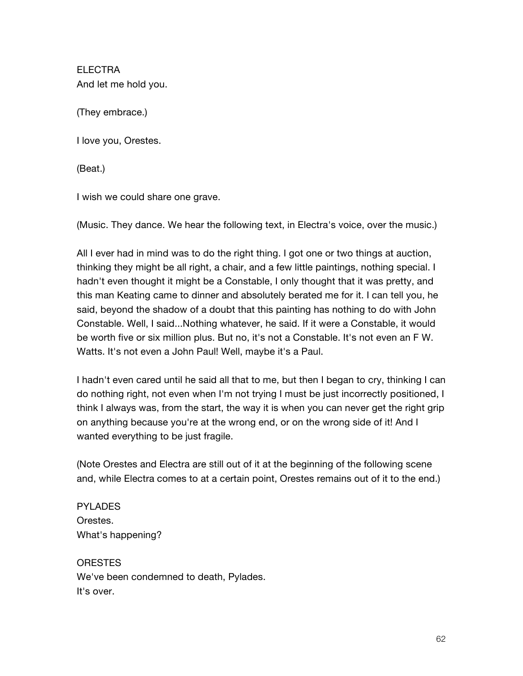ELECTRA And let me hold you.

(They embrace.)

I love you, Orestes.

(Beat.)

I wish we could share one grave.

(Music. They dance. We hear the following text, in Electra's voice, over the music.)

All I ever had in mind was to do the right thing. I got one or two things at auction, thinking they might be all right, a chair, and a few little paintings, nothing special. I hadn't even thought it might be a Constable, I only thought that it was pretty, and this man Keating came to dinner and absolutely berated me for it. I can tell you, he said, beyond the shadow of a doubt that this painting has nothing to do with John Constable. Well, I said...Nothing whatever, he said. If it were a Constable, it would be worth five or six million plus. But no, it's not a Constable. It's not even an F W. Watts. It's not even a John Paul! Well, maybe it's a Paul.

I hadn't even cared until he said all that to me, but then I began to cry, thinking I can do nothing right, not even when I'm not trying I must be just incorrectly positioned, I think I always was, from the start, the way it is when you can never get the right grip on anything because you're at the wrong end, or on the wrong side of it! And I wanted everything to be just fragile.

(Note Orestes and Electra are still out of it at the beginning of the following scene and, while Electra comes to at a certain point, Orestes remains out of it to the end.)

**PYLADES** Orestes. What's happening?

ORESTES We've been condemned to death, Pylades. It's over.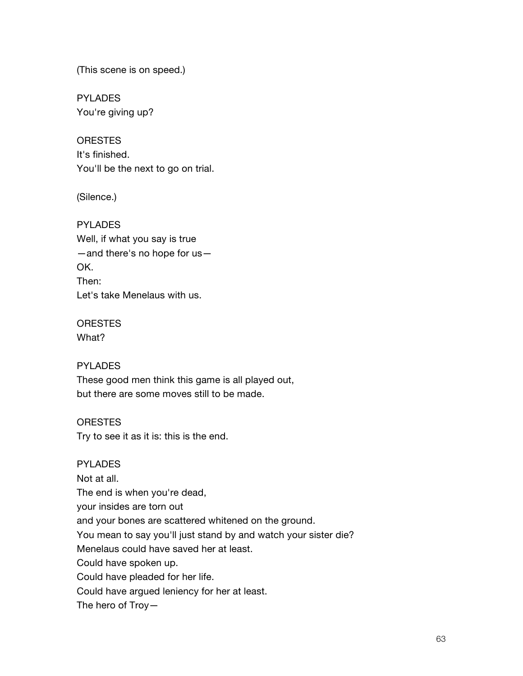(This scene is on speed.)

PYLADES You're giving up?

**ORESTES** It's finished. You'll be the next to go on trial.

(Silence.)

PYLADES Well, if what you say is true —and there's no hope for us— OK. Then: Let's take Menelaus with us.

**ORESTES** What?

#### PYLADES

These good men think this game is all played out, but there are some moves still to be made.

#### **ORESTES**

Try to see it as it is: this is the end.

# PYLADES

Not at all. The end is when you're dead, your insides are torn out and your bones are scattered whitened on the ground. You mean to say you'll just stand by and watch your sister die? Menelaus could have saved her at least. Could have spoken up. Could have pleaded for her life. Could have argued leniency for her at least. The hero of Troy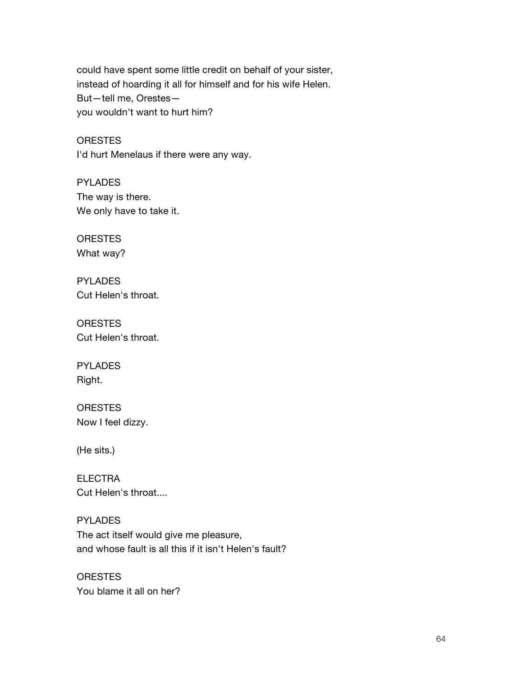could have spent some little credit on behalf of your sister, instead of hoarding it all for himself and for his wife Helen. But—tell me, Orestes you wouldn't want to hurt him?

**ORESTES** I'd hurt Menelaus if there were any way.

**PYLADES** The way is there. We only have to take it.

**ORESTES** What way?

PYLADES Cut Helen's throat.

**ORESTES** Cut Helen's throat.

PYLADES Right.

**ORESTES** Now I feel dizzy.

(He sits.)

**ELECTRA** Cut Helen's throat....

PYLADES The act itself would give me pleasure, and whose fault is all this if it isn't Helen's fault?

**ORESTES** You blame it all on her?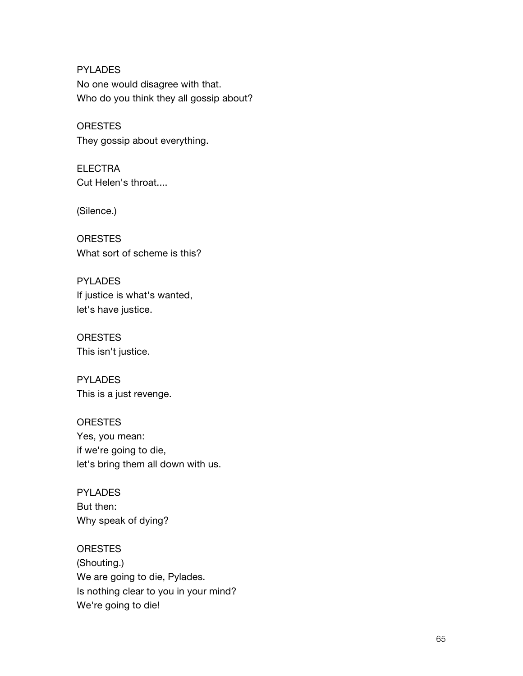PYLADES No one would disagree with that. Who do you think they all gossip about?

**ORESTES** They gossip about everything.

**ELECTRA** Cut Helen's throat....

(Silence.)

**ORESTES** What sort of scheme is this?

PYLADES If justice is what's wanted, let's have justice.

**ORESTES** This isn't justice.

PYLADES This is a just revenge.

**ORESTES** Yes, you mean: if we're going to die, let's bring them all down with us.

PYLADES But then: Why speak of dying?

**ORESTES** (Shouting.) We are going to die, Pylades. Is nothing clear to you in your mind? We're going to die!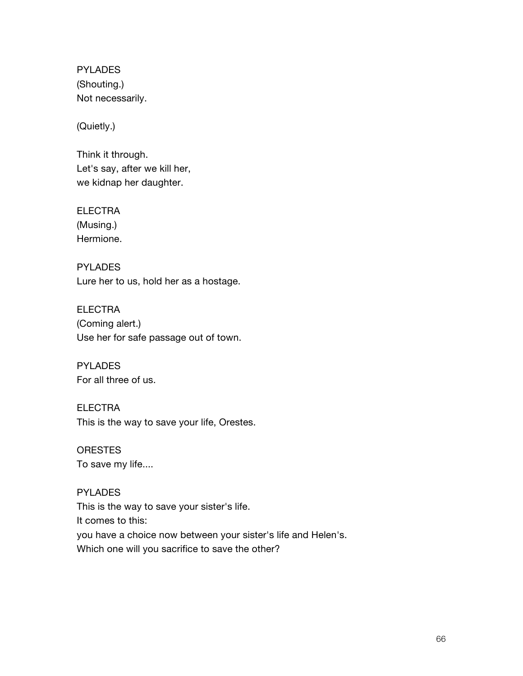PYLADES (Shouting.) Not necessarily.

(Quietly.)

Think it through. Let's say, after we kill her, we kidnap her daughter.

ELECTRA (Musing.) Hermione.

PYLADES Lure her to us, hold her as a hostage.

ELECTRA (Coming alert.) Use her for safe passage out of town.

PYLADES For all three of us.

ELECTRA This is the way to save your life, Orestes.

**ORESTES** To save my life....

PYLADES This is the way to save your sister's life. It comes to this: you have a choice now between your sister's life and Helen's. Which one will you sacrifice to save the other?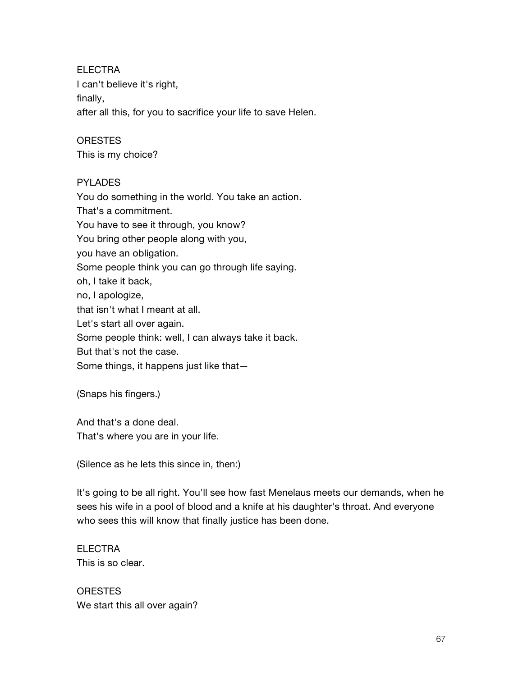ELECTRA I can't believe it's right, finally, after all this, for you to sacrifice your life to save Helen.

# **ORESTES**

This is my choice?

#### PYLADES

You do something in the world. You take an action. That's a commitment. You have to see it through, you know? You bring other people along with you, you have an obligation. Some people think you can go through life saying. oh, I take it back, no, I apologize, that isn't what I meant at all. Let's start all over again. Some people think: well, I can always take it back. But that's not the case. Some things, it happens just like that—

(Snaps his fingers.)

And that's a done deal. That's where you are in your life.

(Silence as he lets this since in, then:)

It's going to be all right. You'll see how fast Menelaus meets our demands, when he sees his wife in a pool of blood and a knife at his daughter's throat. And everyone who sees this will know that finally justice has been done.

ELECTRA This is so clear.

**ORESTES** We start this all over again?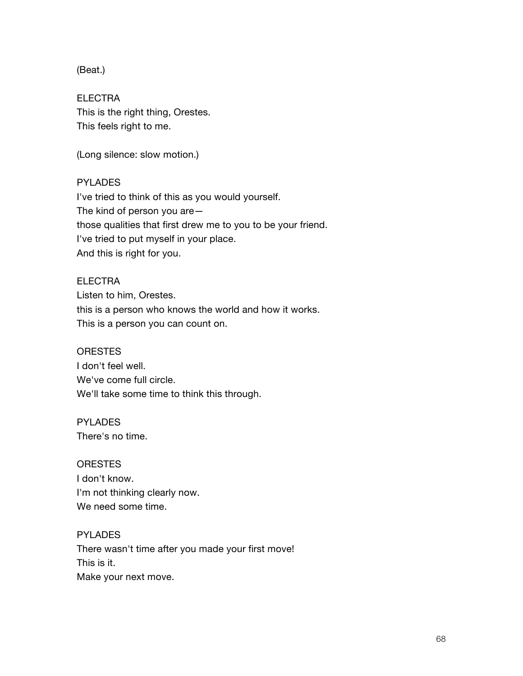(Beat.)

**ELECTRA** This is the right thing, Orestes. This feels right to me.

(Long silence: slow motion.)

#### PYLADES

I've tried to think of this as you would yourself. The kind of person you are those qualities that first drew me to you to be your friend. I've tried to put myself in your place. And this is right for you.

#### ELECTRA

Listen to him, Orestes. this is a person who knows the world and how it works. This is a person you can count on.

#### **ORESTES**

I don't feel well. We've come full circle. We'll take some time to think this through.

# PYLADES

There's no time.

#### **ORESTES**

I don't know. I'm not thinking clearly now. We need some time.

# PYLADES

There wasn't time after you made your first move! This is it. Make your next move.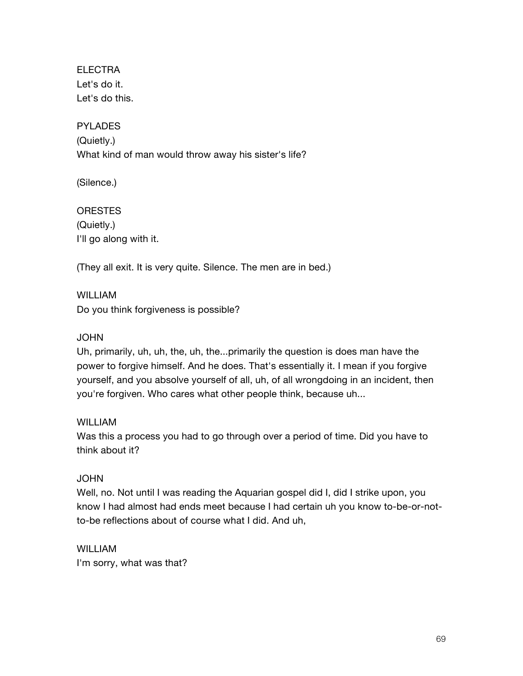ELECTRA Let's do it. Let's do this.

# PYLADES (Quietly.) What kind of man would throw away his sister's life?

(Silence.)

**ORESTES** (Quietly.) I'll go along with it.

(They all exit. It is very quite. Silence. The men are in bed.)

WILLIAM Do you think forgiveness is possible?

# **JOHN**

Uh, primarily, uh, uh, the, uh, the...primarily the question is does man have the power to forgive himself. And he does. That's essentially it. I mean if you forgive yourself, and you absolve yourself of all, uh, of all wrongdoing in an incident, then you're forgiven. Who cares what other people think, because uh...

#### WILLIAM

Was this a process you had to go through over a period of time. Did you have to think about it?

#### JOHN

Well, no. Not until I was reading the Aquarian gospel did I, did I strike upon, you know I had almost had ends meet because I had certain uh you know to-be-or-notto-be reflections about of course what I did. And uh,

WILLIAM I'm sorry, what was that?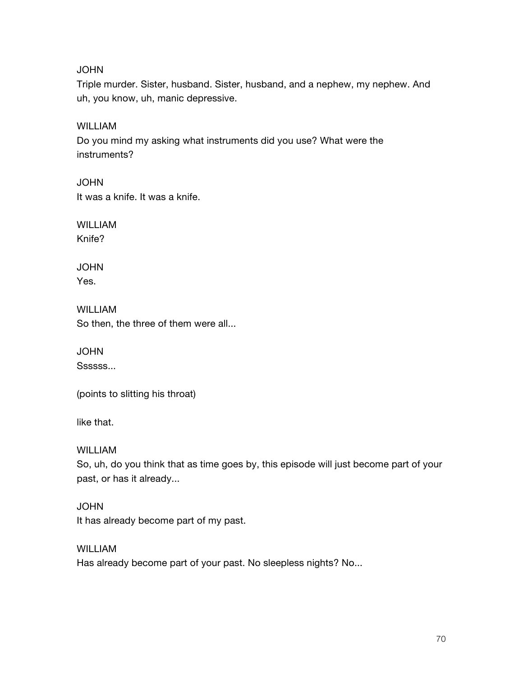#### JOHN

Triple murder. Sister, husband. Sister, husband, and a nephew, my nephew. And uh, you know, uh, manic depressive.

# WILLIAM Do you mind my asking what instruments did you use? What were the instruments?

JOHN It was a knife. It was a knife.

WILLIAM Knife?

JOHN Yes.

WILLIAM So then, the three of them were all...

JOHN Ssssss...

(points to slitting his throat)

like that.

# WILLIAM

So, uh, do you think that as time goes by, this episode will just become part of your past, or has it already...

#### JOHN

It has already become part of my past.

#### WILLIAM

Has already become part of your past. No sleepless nights? No...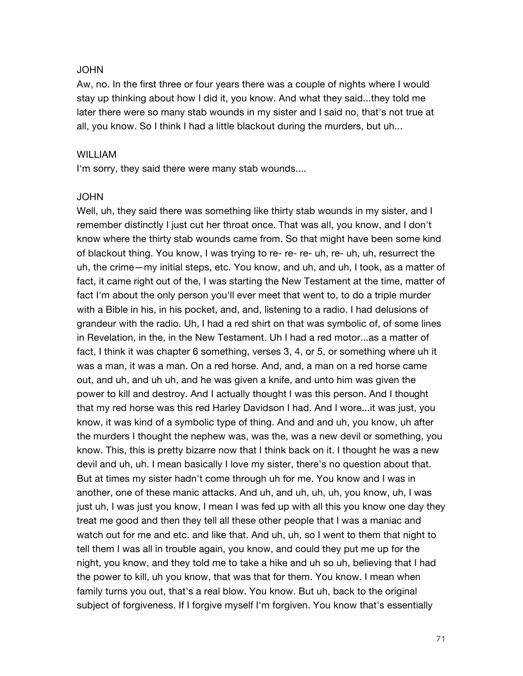#### JOHN

Aw, no. In the first three or four years there was a couple of nights where I would stay up thinking about how I did it, you know. And what they said...they told me later there were so many stab wounds in my sister and I said no, that's not true at all, you know. So I think I had a little blackout during the murders, but uh...

#### WILLIAM

I'm sorry, they said there were many stab wounds....

#### JOHN

Well, uh, they said there was something like thirty stab wounds in my sister, and I remember distinctly I just cut her throat once. That was all, you know, and I don't know where the thirty stab wounds came from. So that might have been some kind of blackout thing. You know, I was trying to re- re- re- uh, re- uh, uh, resurrect the uh, the crime—my initial steps, etc. You know, and uh, and uh, I took, as a matter of fact, it came right out of the, I was starting the New Testament at the time, matter of fact I'm about the only person you'll ever meet that went to, to do a triple murder with a Bible in his, in his pocket, and, and, listening to a radio. I had delusions of grandeur with the radio. Uh, I had a red shirt on that was symbolic of, of some lines in Revelation, in the, in the New Testament. Uh I had a red motor...as a matter of fact, I think it was chapter 6 something, verses 3, 4, or 5, or something where uh it was a man, it was a man. On a red horse. And, and, a man on a red horse came out, and uh, and uh uh, and he was given a knife, and unto him was given the power to kill and destroy. And I actually thought I was this person. And I thought that my red horse was this red Harley Davidson I had. And I wore...it was just, you know, it was kind of a symbolic type of thing. And and and uh, you know, uh after the murders I thought the nephew was, was the, was a new devil or something, you know. This, this is pretty bizarre now that I think back on it. I thought he was a new devil and uh, uh. I mean basically I love my sister, there's no question about that. But at times my sister hadn't come through uh for me. You know and I was in another, one of these manic attacks. And uh, and uh, uh, uh, you know, uh, I was just uh, I was just you know, I mean I was fed up with all this you know one day they treat me good and then they tell all these other people that I was a maniac and watch out for me and etc. and like that. And uh, uh, so I went to them that night to tell them I was all in trouble again, you know, and could they put me up for the night, you know, and they told me to take a hike and uh so uh, believing that I had the power to kill, uh you know, that was that for them. You know. I mean when family turns you out, that's a real blow. You know. But uh, back to the original subject of forgiveness. If I forgive myself I'm forgiven. You know that's essentially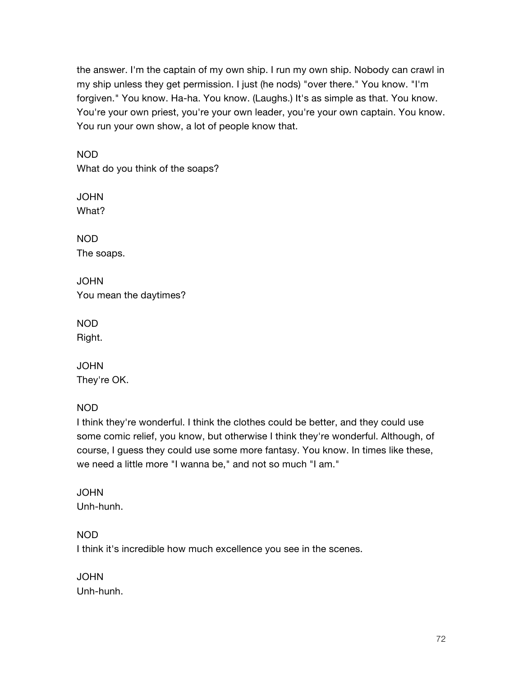the answer. I'm the captain of my own ship. I run my own ship. Nobody can crawl in my ship unless they get permission. I just (he nods) "over there." You know. "I'm forgiven." You know. Ha-ha. You know. (Laughs.) It's as simple as that. You know. You're your own priest, you're your own leader, you're your own captain. You know. You run your own show, a lot of people know that.

NOD What do you think of the soaps?

JOHN What?

NOD The soaps.

JOHN You mean the daytimes?

NOD Right.

JOHN They're OK.

NOD

I think they're wonderful. I think the clothes could be better, and they could use some comic relief, you know, but otherwise I think they're wonderful. Although, of course, I guess they could use some more fantasy. You know. In times like these, we need a little more "I wanna be," and not so much "I am."

JOHN Unh-hunh.

NOD

I think it's incredible how much excellence you see in the scenes.

JOHN Unh-hunh.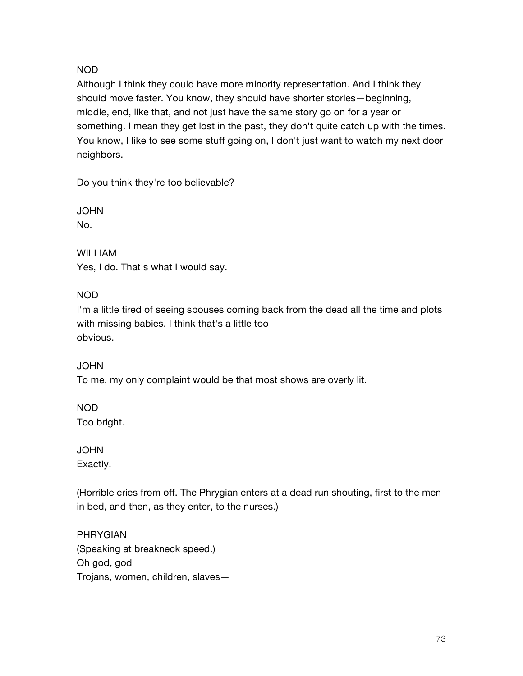# NOD

Although I think they could have more minority representation. And I think they should move faster. You know, they should have shorter stories—beginning, middle, end, like that, and not just have the same story go on for a year or something. I mean they get lost in the past, they don't quite catch up with the times. You know, I like to see some stuff going on, I don't just want to watch my next door neighbors.

Do you think they're too believable?

JOHN No.

WILLIAM Yes, I do. That's what I would say.

# NOD

I'm a little tired of seeing spouses coming back from the dead all the time and plots with missing babies. I think that's a little too obvious.

# JOHN

To me, my only complaint would be that most shows are overly lit.

NOD Too bright.

JOHN Exactly.

(Horrible cries from off. The Phrygian enters at a dead run shouting, first to the men in bed, and then, as they enter, to the nurses.)

PHRYGIAN (Speaking at breakneck speed.) Oh god, god Trojans, women, children, slaves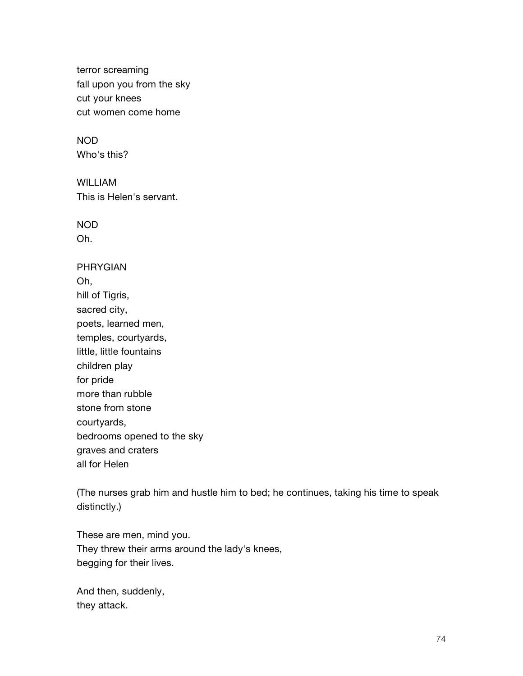terror screaming fall upon you from the sky cut your knees cut women come home

NOD Who's this?

WILLIAM This is Helen's servant.

NOD

Oh.

PHRYGIAN Oh, hill of Tigris, sacred city, poets, learned men, temples, courtyards, little, little fountains children play for pride more than rubble stone from stone courtyards, bedrooms opened to the sky graves and craters all for Helen

(The nurses grab him and hustle him to bed; he continues, taking his time to speak distinctly.)

These are men, mind you. They threw their arms around the lady's knees, begging for their lives.

And then, suddenly, they attack.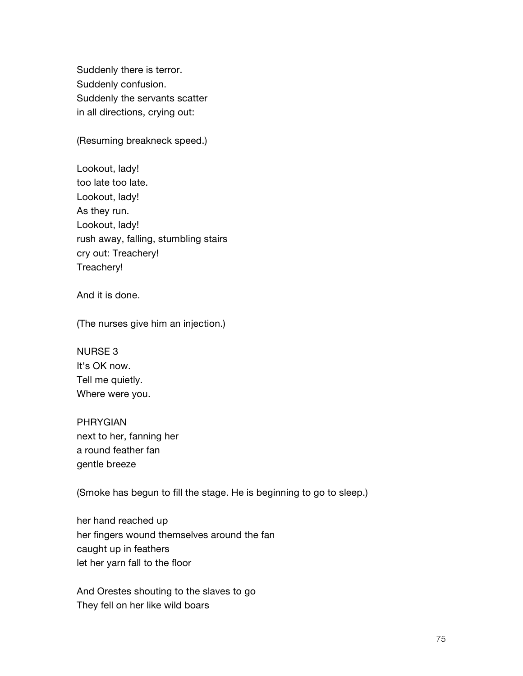Suddenly there is terror. Suddenly confusion. Suddenly the servants scatter in all directions, crying out:

(Resuming breakneck speed.)

Lookout, lady! too late too late. Lookout, lady! As they run. Lookout, lady! rush away, falling, stumbling stairs cry out: Treachery! Treachery!

And it is done.

(The nurses give him an injection.)

NURSE 3 It's OK now. Tell me quietly. Where were you.

PHRYGIAN next to her, fanning her a round feather fan gentle breeze

(Smoke has begun to fill the stage. He is beginning to go to sleep.)

her hand reached up her fingers wound themselves around the fan caught up in feathers let her yarn fall to the floor

And Orestes shouting to the slaves to go They fell on her like wild boars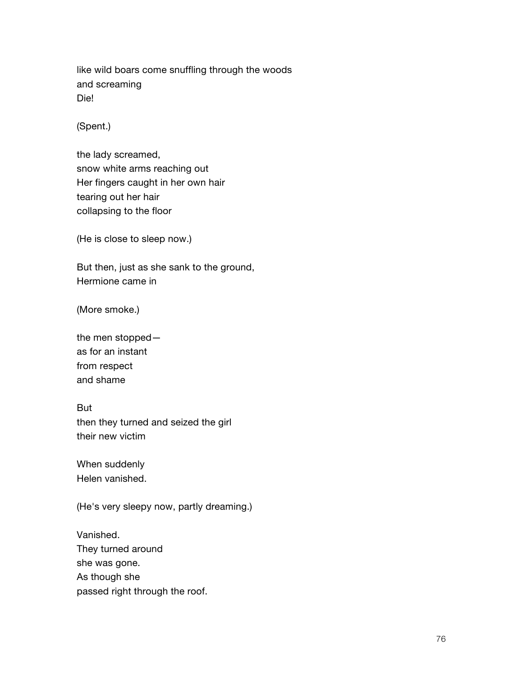like wild boars come snuffling through the woods and screaming Die!

(Spent.)

the lady screamed, snow white arms reaching out Her fingers caught in her own hair tearing out her hair collapsing to the floor

(He is close to sleep now.)

But then, just as she sank to the ground, Hermione came in

(More smoke.)

the men stopped as for an instant from respect and shame

#### But

then they turned and seized the girl their new victim

When suddenly Helen vanished.

(He's very sleepy now, partly dreaming.)

Vanished. They turned around she was gone. As though she passed right through the roof.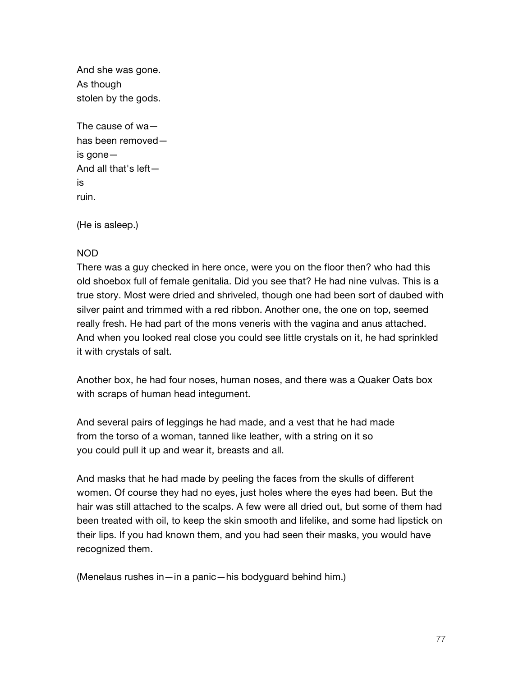And she was gone. As though stolen by the gods.

The cause of wa has been removed is gone— And all that's left is ruin.

(He is asleep.)

#### NOD

There was a guy checked in here once, were you on the floor then? who had this old shoebox full of female genitalia. Did you see that? He had nine vulvas. This is a true story. Most were dried and shriveled, though one had been sort of daubed with silver paint and trimmed with a red ribbon. Another one, the one on top, seemed really fresh. He had part of the mons veneris with the vagina and anus attached. And when you looked real close you could see little crystals on it, he had sprinkled it with crystals of salt.

Another box, he had four noses, human noses, and there was a Quaker Oats box with scraps of human head integument.

And several pairs of leggings he had made, and a vest that he had made from the torso of a woman, tanned like leather, with a string on it so you could pull it up and wear it, breasts and all.

And masks that he had made by peeling the faces from the skulls of different women. Of course they had no eyes, just holes where the eyes had been. But the hair was still attached to the scalps. A few were all dried out, but some of them had been treated with oil, to keep the skin smooth and lifelike, and some had lipstick on their lips. If you had known them, and you had seen their masks, you would have recognized them.

(Menelaus rushes in—in a panic—his bodyguard behind him.)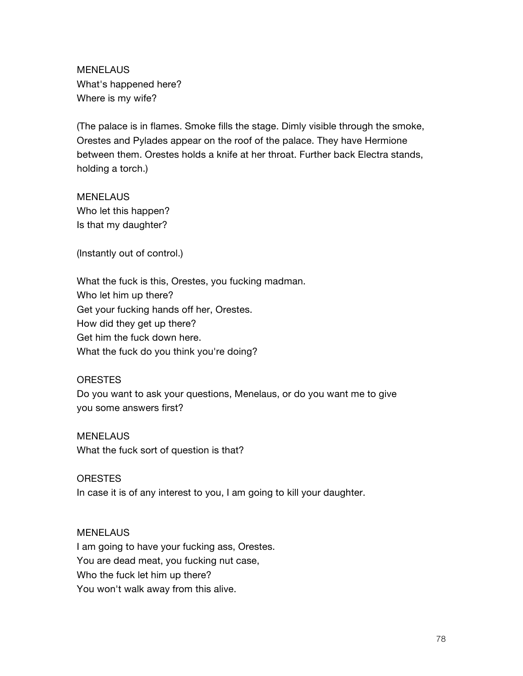**MENELAUS** What's happened here? Where is my wife?

(The palace is in flames. Smoke fills the stage. Dimly visible through the smoke, Orestes and Pylades appear on the roof of the palace. They have Hermione between them. Orestes holds a knife at her throat. Further back Electra stands, holding a torch.)

**MENELAUS** Who let this happen? Is that my daughter?

(Instantly out of control.)

What the fuck is this, Orestes, you fucking madman. Who let him up there? Get your fucking hands off her, Orestes. How did they get up there? Get him the fuck down here. What the fuck do you think you're doing?

#### **ORESTES**

Do you want to ask your questions, Menelaus, or do you want me to give you some answers first?

**MENELAUS** What the fuck sort of question is that?

# **ORESTES**

In case it is of any interest to you, I am going to kill your daughter.

# **MENELAUS**

I am going to have your fucking ass, Orestes. You are dead meat, you fucking nut case, Who the fuck let him up there? You won't walk away from this alive.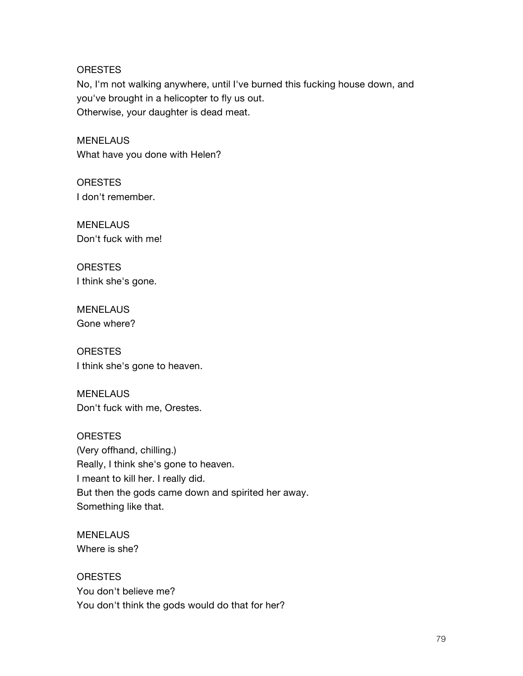#### **ORESTES**

No, I'm not walking anywhere, until I've burned this fucking house down, and you've brought in a helicopter to fly us out. Otherwise, your daughter is dead meat.

MENELAUS What have you done with Helen?

**ORESTES** I don't remember.

**MENELAUS** Don't fuck with me!

**ORESTES** I think she's gone.

**MENELAUS** Gone where?

**ORESTES** I think she's gone to heaven.

**MENELAUS** Don't fuck with me, Orestes.

**ORESTES** (Very offhand, chilling.) Really, I think she's gone to heaven. I meant to kill her. I really did. But then the gods came down and spirited her away. Something like that.

**MENELAUS** Where is she?

**ORESTES** You don't believe me? You don't think the gods would do that for her?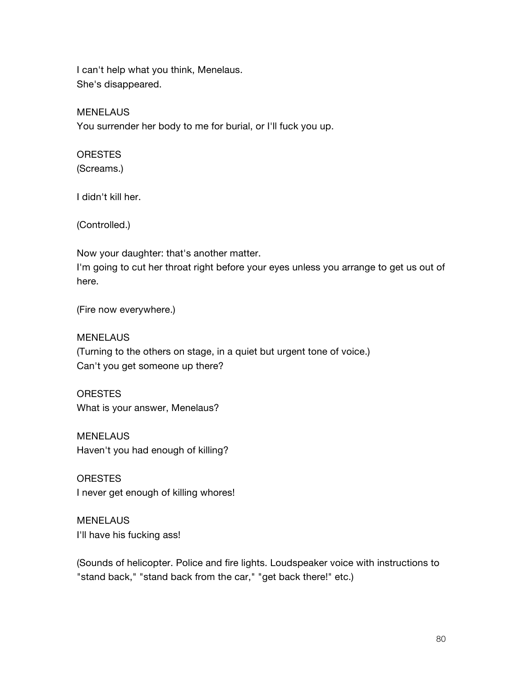I can't help what you think, Menelaus. She's disappeared.

#### **MENELAUS**

You surrender her body to me for burial, or I'll fuck you up.

#### **ORESTES** (Screams.)

I didn't kill her.

(Controlled.)

Now your daughter: that's another matter.

I'm going to cut her throat right before your eyes unless you arrange to get us out of here.

(Fire now everywhere.)

**MENELAUS** (Turning to the others on stage, in a quiet but urgent tone of voice.) Can't you get someone up there?

**ORESTES** What is your answer, Menelaus?

**MENELAUS** Haven't you had enough of killing?

**ORESTES** I never get enough of killing whores!

**MENELAUS** I'll have his fucking ass!

(Sounds of helicopter. Police and fire lights. Loudspeaker voice with instructions to "stand back," "stand back from the car," "get back there!" etc.)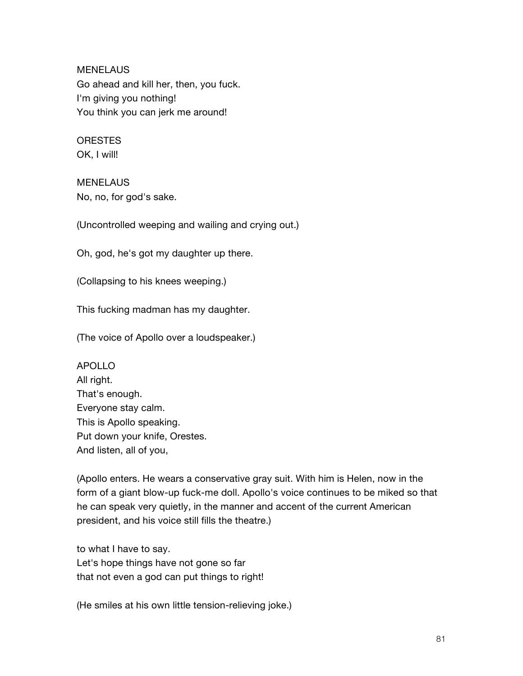**MENELAUS** Go ahead and kill her, then, you fuck. I'm giving you nothing! You think you can jerk me around!

**ORESTES** OK, I will!

**MENELAUS** No, no, for god's sake.

(Uncontrolled weeping and wailing and crying out.)

Oh, god, he's got my daughter up there.

(Collapsing to his knees weeping.)

This fucking madman has my daughter.

(The voice of Apollo over a loudspeaker.)

APOLLO All right. That's enough. Everyone stay calm. This is Apollo speaking. Put down your knife, Orestes. And listen, all of you,

(Apollo enters. He wears a conservative gray suit. With him is Helen, now in the form of a giant blow-up fuck-me doll. Apollo's voice continues to be miked so that he can speak very quietly, in the manner and accent of the current American president, and his voice still fills the theatre.)

to what I have to say. Let's hope things have not gone so far that not even a god can put things to right!

(He smiles at his own little tension-relieving joke.)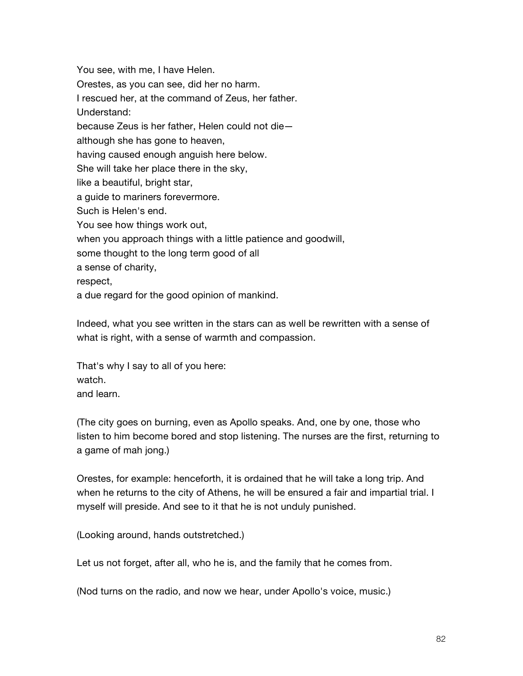You see, with me, I have Helen. Orestes, as you can see, did her no harm. I rescued her, at the command of Zeus, her father. Understand: because Zeus is her father, Helen could not die although she has gone to heaven, having caused enough anguish here below. She will take her place there in the sky, like a beautiful, bright star, a guide to mariners forevermore. Such is Helen's end. You see how things work out, when you approach things with a little patience and goodwill, some thought to the long term good of all a sense of charity, respect, a due regard for the good opinion of mankind.

Indeed, what you see written in the stars can as well be rewritten with a sense of what is right, with a sense of warmth and compassion.

That's why I say to all of you here: watch. and learn.

(The city goes on burning, even as Apollo speaks. And, one by one, those who listen to him become bored and stop listening. The nurses are the first, returning to a game of mah jong.)

Orestes, for example: henceforth, it is ordained that he will take a long trip. And when he returns to the city of Athens, he will be ensured a fair and impartial trial. I myself will preside. And see to it that he is not unduly punished.

(Looking around, hands outstretched.)

Let us not forget, after all, who he is, and the family that he comes from.

(Nod turns on the radio, and now we hear, under Apollo's voice, music.)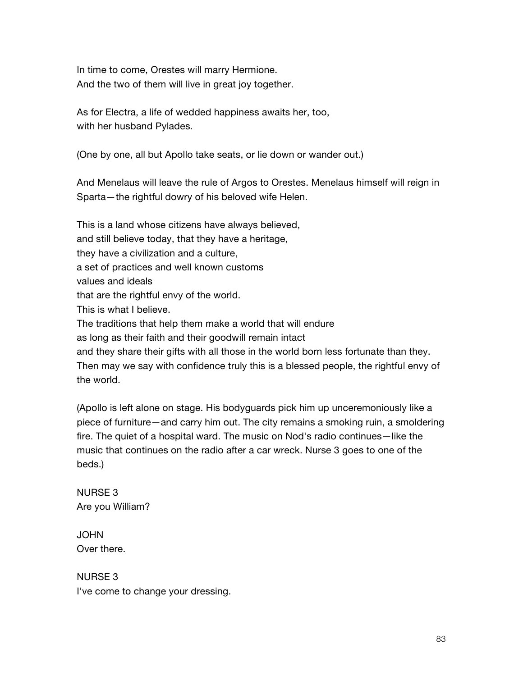In time to come, Orestes will marry Hermione. And the two of them will live in great joy together.

As for Electra, a life of wedded happiness awaits her, too, with her husband Pylades.

(One by one, all but Apollo take seats, or lie down or wander out.)

And Menelaus will leave the rule of Argos to Orestes. Menelaus himself will reign in Sparta—the rightful dowry of his beloved wife Helen.

This is a land whose citizens have always believed, and still believe today, that they have a heritage, they have a civilization and a culture, a set of practices and well known customs values and ideals that are the rightful envy of the world. This is what I believe. The traditions that help them make a world that will endure as long as their faith and their goodwill remain intact and they share their gifts with all those in the world born less fortunate than they. Then may we say with confidence truly this is a blessed people, the rightful envy of the world.

(Apollo is left alone on stage. His bodyguards pick him up unceremoniously like a piece of furniture—and carry him out. The city remains a smoking ruin, a smoldering fire. The quiet of a hospital ward. The music on Nod's radio continues—like the music that continues on the radio after a car wreck. Nurse 3 goes to one of the beds.)

NURSE 3 Are you William?

**JOHN** Over there.

NURSE 3 I've come to change your dressing.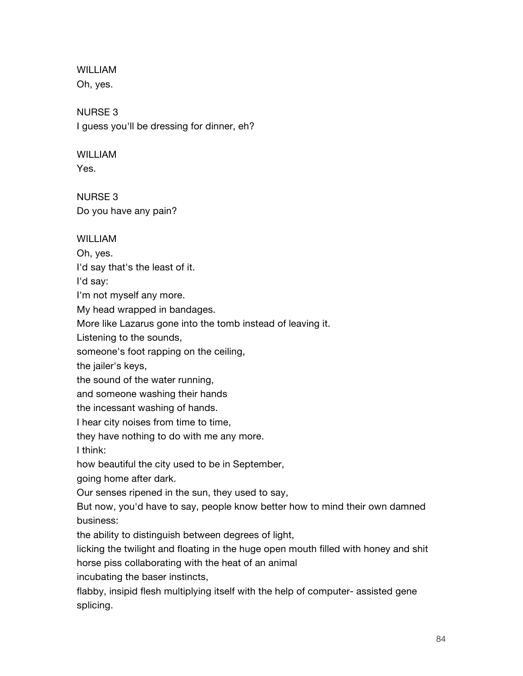WILLIAM Oh, yes.

NURSE 3

I guess you'll be dressing for dinner, eh?

# WILLIAM

Yes.

NURSE 3 Do you have any pain?

WILLIAM

Oh, yes.

I'd say that's the least of it.

I'd say:

I'm not myself any more.

My head wrapped in bandages.

More like Lazarus gone into the tomb instead of leaving it.

Listening to the sounds,

someone's foot rapping on the ceiling,

the jailer's keys,

the sound of the water running,

and someone washing their hands

the incessant washing of hands.

I hear city noises from time to time,

they have nothing to do with me any more.

I think:

how beautiful the city used to be in September,

going home after dark.

Our senses ripened in the sun, they used to say,

But now, you'd have to say, people know better how to mind their own damned business:

the ability to distinguish between degrees of light,

licking the twilight and floating in the huge open mouth filled with honey and shit horse piss collaborating with the heat of an animal

incubating the baser instincts,

flabby, insipid flesh multiplying itself with the help of computer- assisted gene splicing.